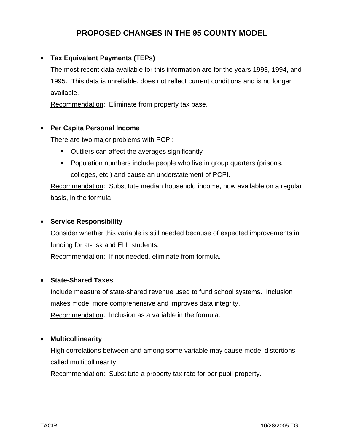## **PROPOSED CHANGES IN THE 95 COUNTY MODEL**

## • **Tax Equivalent Payments (TEPs)**

 The most recent data available for this information are for the years 1993, 1994, and 1995. This data is unreliable, does not reflect current conditions and is no longer available.

Recommendation: Eliminate from property tax base.

### • **Per Capita Personal Income**

There are two major problems with PCPI:

- Outliers can affect the averages significantly
- **Population numbers include people who live in group quarters (prisons,** colleges, etc.) and cause an understatement of PCPI.

 Recommendation: Substitute median household income, now available on a regular basis, in the formula

### • **Service Responsibility**

 Consider whether this variable is still needed because of expected improvements in funding for at-risk and ELL students.

Recommendation: If not needed, eliminate from formula.

#### • **State-Shared Taxes**

 Include measure of state-shared revenue used to fund school systems. Inclusion makes model more comprehensive and improves data integrity. Recommendation: Inclusion as a variable in the formula.

#### • **Multicollinearity**

 High correlations between and among some variable may cause model distortions called multicollinearity.

Recommendation: Substitute a property tax rate for per pupil property.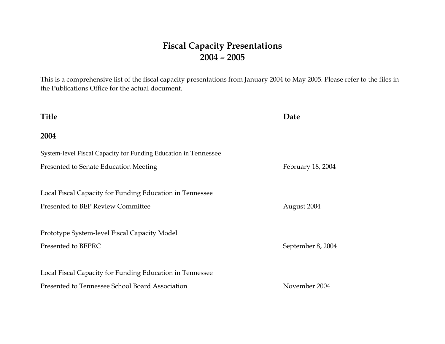## **Fiscal Capacity Presentations 2004 – 2005**

This is a comprehensive list of the fiscal capacity presentations from January 2004 to May 2005. Please refer to the files in the Publications Office for the actual document.

## **Title Date 2004** System-level Fiscal Capacity for Funding Education in Tennessee Presented to Senate Education Meeting February 18, 2004 Local Fiscal Capacity for Funding Education in Tennessee Presented to BEP Review Committee August 2004 Prototype System-level Fiscal Capacity Model Presented to BEPRC September 8, 2004 Local Fiscal Capacity for Funding Education in Tennessee Presented to Tennessee School Board Association November 2004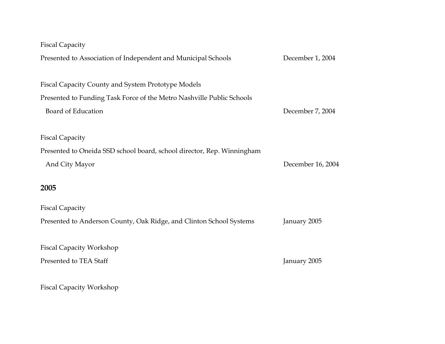| <b>Fiscal Capacity</b>                                                 |                   |
|------------------------------------------------------------------------|-------------------|
| Presented to Association of Independent and Municipal Schools          | December 1, 2004  |
|                                                                        |                   |
| Fiscal Capacity County and System Prototype Models                     |                   |
| Presented to Funding Task Force of the Metro Nashville Public Schools  |                   |
| Board of Education                                                     | December 7, 2004  |
|                                                                        |                   |
| <b>Fiscal Capacity</b>                                                 |                   |
| Presented to Oneida SSD school board, school director, Rep. Winningham |                   |
| And City Mayor                                                         | December 16, 2004 |
|                                                                        |                   |
| 2005                                                                   |                   |
| <b>Fiscal Capacity</b>                                                 |                   |
| Presented to Anderson County, Oak Ridge, and Clinton School Systems    | January 2005      |
|                                                                        |                   |
| <b>Fiscal Capacity Workshop</b>                                        |                   |
| Presented to TEA Staff                                                 | January 2005      |
|                                                                        |                   |
| <b>Fiscal Capacity Workshop</b>                                        |                   |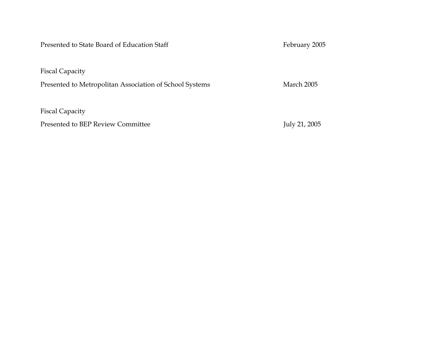Presented to State Board of Education Staff February 2005

Fiscal Capacity

Presented to Metropolitan Association of School Systems March 2005

Fiscal Capacity

Presented to BEP Review Committee July 21, 2005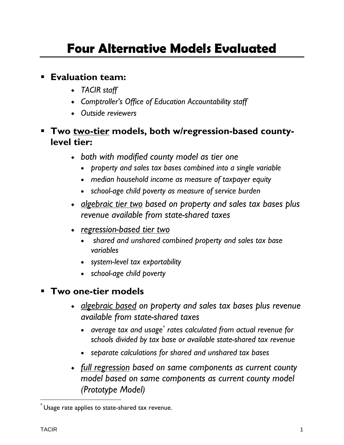## **Evaluation team:**

- *TACIR staff*
- *Comptroller's Office of Education Accountability staff*
- *Outside reviewers*
- **Two two-tier models, both w/regression-based countylevel tier:** 
	- *both with modified county model as tier one* 
		- *property and sales tax bases combined into a single variable*
		- *median household income as measure of taxpayer equity*
		- *school-age child poverty as measure of service burden*
	- *algebraic tier two based on property and sales tax bases plus revenue available from state-shared taxes*
	- *regression-based tier two*
		- • *shared and unshared combined property and sales tax base variables*
		- *system-level tax exportability*
		- *school-age child poverty*

## **Two one-tier models**

- *algebraic based on property and sales tax bases plus revenue available from state-shared taxes* 
	- average tax and usage<sup>\*</sup> rates calculated from actual revenue for *schools divided by tax base or available state-shared tax revenue*
	- *separate calculations for shared and unshared tax bases*
- *full regression based on same components as current county model based on same components as current county model (Prototype Model)*

 $\degree$  Usage rate applies to state-shared tax revenue.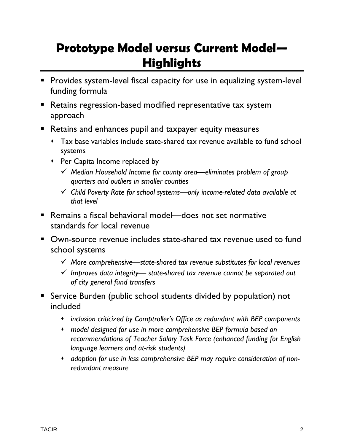## **Prototype Model versus Current Model— Highlights**

- **Provides system-level fiscal capacity for use in equalizing system-level** funding formula
- **Retains regression-based modified representative tax system** approach
- **Retains and enhances pupil and taxpayer equity measures** 
	- Tax base variables include state-shared tax revenue available to fund school systems
	- Per Capita Income replaced by
		- 9 *Median Household Income for county area—eliminates problem of group quarters and outliers in smaller counties*
		- 9 *Child Poverty Rate for school systems—only income-related data available at that level*
- Remains a fiscal behavioral model—does not set normative standards for local revenue
- Own-source revenue includes state-shared tax revenue used to fund school systems
	- 9 *More comprehensive—state-shared tax revenue substitutes for local revenues*
	- 9 *Improves data integrity— state-shared tax revenue cannot be separated out of city general fund transfers*
- Service Burden (public school students divided by population) not included
	- *inclusion criticized by Comptroller's Office as redundant with BEP components*
	- *model designed for use in more comprehensive BEP formula based on recommendations of Teacher Salary Task Force (enhanced funding for English language learners and at-risk students)*
	- *adoption for use in less comprehensive BEP may require consideration of nonredundant measure*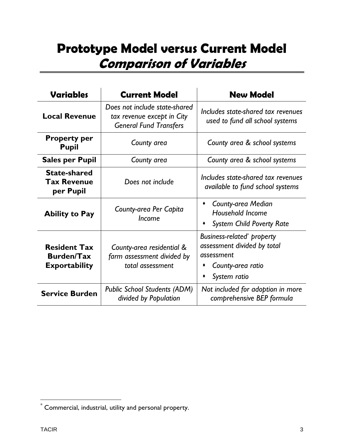## **Prototype Model versus Current Model Comparison of Variables**

| <b>Variables</b>                                                 | <b>Current Model</b>                                                                         | <b>New Model</b>                                                                                            |  |  |  |  |
|------------------------------------------------------------------|----------------------------------------------------------------------------------------------|-------------------------------------------------------------------------------------------------------------|--|--|--|--|
| <b>Local Revenue</b>                                             | Does not include state-shared<br>tax revenue except in City<br><b>General Fund Transfers</b> | Includes state-shared tax revenues<br>used to fund all school systems                                       |  |  |  |  |
| <b>Property per</b><br><b>Pupil</b>                              | County area                                                                                  | County area & school systems                                                                                |  |  |  |  |
| <b>Sales per Pupil</b>                                           | County area                                                                                  | County area & school systems                                                                                |  |  |  |  |
| <b>State-shared</b><br><b>Tax Revenue</b><br>per Pupil           | Does not include                                                                             | Includes state-shared tax revenues<br>available to fund school systems                                      |  |  |  |  |
| <b>Ability to Pay</b>                                            | County-area Per Capita<br><i><u><b>Income</b></u></i>                                        | <b>County-area Median</b><br><b>Household Income</b><br><b>System Child Poverty Rate</b>                    |  |  |  |  |
| <b>Resident Tax</b><br><b>Burden/Tax</b><br><b>Exportability</b> | County-area residential &<br>farm assessment divided by<br>total assessment                  | Business-related property<br>assessment divided by total<br>assessment<br>County-area ratio<br>System ratio |  |  |  |  |
| <b>Service Burden</b>                                            | <b>Public School Students (ADM)</b><br>divided by Population                                 | Not included for adoption in more<br>comprehensive BEP formula                                              |  |  |  |  |

 $\overline{a}$ 

 $\degree$  Commercial, industrial, utility and personal property.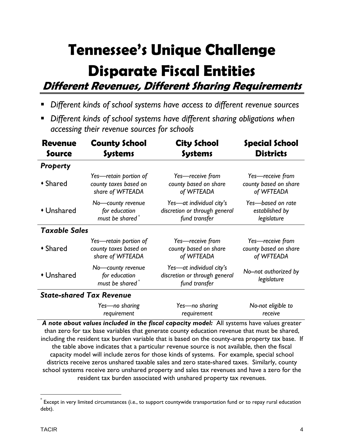# **Tennessee's Unique Challenge**

# **Disparate Fiscal Entities**

**Different Revenues, Different Sharing Requirements**

- *Different kinds of school systems have access to different revenue sources*
- *Different kinds of school systems have different sharing obligations when accessing their revenue sources for schools*

| <b>Revenue</b>       | <b>County School</b>                                              | <b>City School</b>                                                         | <b>Special School</b>                |  |  |
|----------------------|-------------------------------------------------------------------|----------------------------------------------------------------------------|--------------------------------------|--|--|
| Source               | <b>Systems</b>                                                    | <b>Systems</b>                                                             | <b>Districts</b>                     |  |  |
| <b>Property</b>      |                                                                   |                                                                            |                                      |  |  |
| • Shared             | Yes-retain portion of                                             | Yes-receive from                                                           | Yes-receive from                     |  |  |
|                      | county taxes based on                                             | county based on share                                                      | county based on share                |  |  |
|                      | share of WFTEADA                                                  | of WFTEADA                                                                 | of WFTEADA                           |  |  |
| • Unshared           | No-county revenue                                                 | Yes-at individual city's                                                   | Yes-based on rate                    |  |  |
|                      | for education                                                     | discretion or through general                                              | established by                       |  |  |
|                      | must be shared <sup>*</sup>                                       | fund transfer                                                              | legislature                          |  |  |
| <b>Taxable Sales</b> |                                                                   |                                                                            |                                      |  |  |
| ◆ Shared             | Yes-retain portion of                                             | Yes-receive from                                                           | Yes-receive from                     |  |  |
|                      | county taxes based on                                             | county based on share                                                      | county based on share                |  |  |
|                      | share of WFTEADA                                                  | of WFTEADA                                                                 | of WFTEADA                           |  |  |
| • Unshared           | No-county revenue<br>for education<br>must be shared <sup>*</sup> | Yes-at individual city's<br>discretion or through general<br>fund transfer | No--not authorized by<br>legislature |  |  |
|                      | <b>State-shared Tax Revenue</b>                                   |                                                                            |                                      |  |  |
|                      | Yes-no sharing                                                    | Yes-no sharing                                                             | No-not eligible to                   |  |  |
|                      | requirement                                                       | requirement                                                                | receive                              |  |  |

*A note about values included in the fiscal capacity model:* All systems have values greater than zero for tax base variables that generate county education revenue that must be shared, including the resident tax burden variable that is based on the county-area property tax base. If the table above indicates that a particular revenue source is not available, then the fiscal capacity model will include zeros for those kinds of systems. For example, special school districts receive zeros unshared taxable sales and zero state-shared taxes. Similarly, county school systems receive zero unshared property and sales tax revenues and have a zero for the resident tax burden associated with unshared property tax revenues.

 $\overline{a}$ 

 $\degree$  Except in very limited circumstances (i.e., to support countywide transportation fund or to repay rural education debt).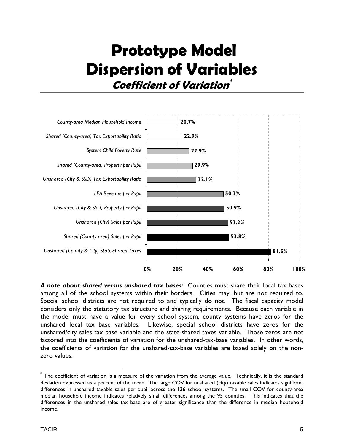## **Prototype Model Dispersion of Variables Coefficient of Variation\***



*A note about shared versus unshared tax bases:* Counties must share their local tax bases among all of the school systems within their borders. Cities may, but are not required to. Special school districts are not required to and typically do not. The fiscal capacity model considers only the statutory tax structure and sharing requirements. Because each variable in the model must have a value for every school system, county systems have zeros for the unshared local tax base variables. Likewise, special school districts have zeros for the unshared/city sales tax base variable and the state-shared taxes variable. Those zeros are not factored into the coefficients of variation for the unshared-tax-base variables. In other words, the coefficients of variation for the unshared-tax-base variables are based solely on the nonzero values.

 $\overline{a}$ 

 $^*$  The coefficient of variation is a measure of the variation from the average value. Technically, it is the standard deviation expressed as a percent of the mean. The large COV for unshared (city) taxable sales indicates significant differences in unshared taxable sales per pupil across the 136 school systems. The small COV for county-area median household income indicates relatively small differences among the 95 counties. This indicates that the differences in the unshared sales tax base are of greater significance than the difference in median household income.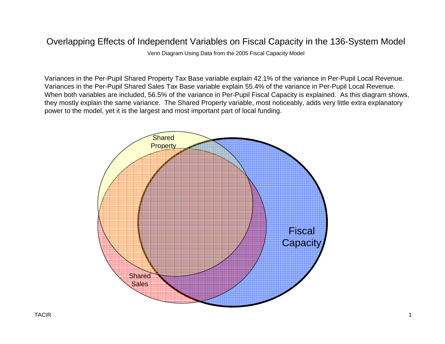Venn Diagram Using Data from the 2005 Fiscal Capacity Model

Variances in the Per-Pupil Shared Property Tax Base variable explain 42.1% of the variance in Per-Pupil Local Revenue. Variances in the Per-Pupil Shared Sales Tax Base variable explain 55.4% of the variance in Per-Pupil Local Revenue. When both variables are included, 56.5% of the variance in Per-Pupil Fiscal Capacity is explained. As this diagram shows, they mostly explain the same variance. The Shared Property variable, most noticeably, adds very little extra explanatory power to the model, yet it is the largest and most important part of local funding.

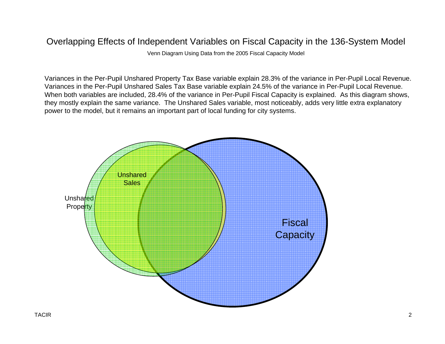Venn Diagram Using Data from the 2005 Fiscal Capacity Model

Variances in the Per-Pupil Unshared Property Tax Base variable explain 28.3% of the variance in Per-Pupil Local Revenue. Variances in the Per-Pupil Unshared Sales Tax Base variable explain 24.5% of the variance in Per-Pupil Local Revenue. When both variables are included, 28.4% of the variance in Per-Pupil Fiscal Capacity is explained. As this diagram shows, they mostly explain the same variance. The Unshared Sales variable, most noticeably, adds very little extra explanatory power to the model, but it remains an important part of local funding for city systems.

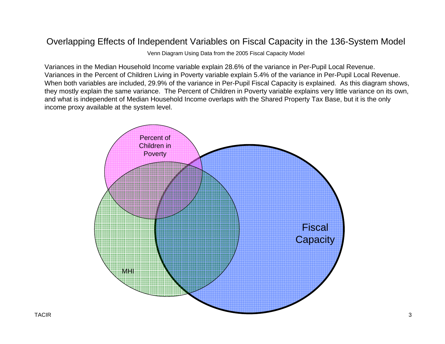Venn Diagram Using Data from the 2005 Fiscal Capacity Model

Variances in the Median Household Income variable explain 28.6% of the variance in Per-Pupil Local Revenue. Variances in the Percent of Children Living in Poverty variable explain 5.4% of the variance in Per-Pupil Local Revenue. When both variables are included, 29.9% of the variance in Per-Pupil Fiscal Capacity is explained. As this diagram shows, they mostly explain the same variance. The Percent of Children in Poverty variable explains very little variance on its own, and what is independent of Median Household Income overlaps with the Shared Property Tax Base, but it is the only income proxy available at the system level.

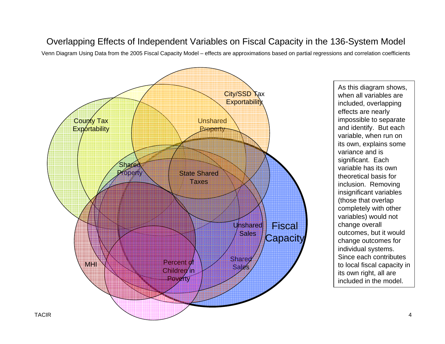Venn Diagram Using Data from the 2005 Fiscal Capacity Model – effects are approximations based on partial regressions and correlation coefficients



As this diagram shows, when all variables are included, overlapping effects are nearly impossible to separate and identify. But each variable, when run on its own, explains some variance and is significant. Each variable has its own theoretical basis for inclusion. Removing insignificant variables (those that overlap completely with other variables) would not change overall outcomes, but it would change outcomes for individual systems. Since each contributes to local fiscal capacity in its own right, all are included in the model.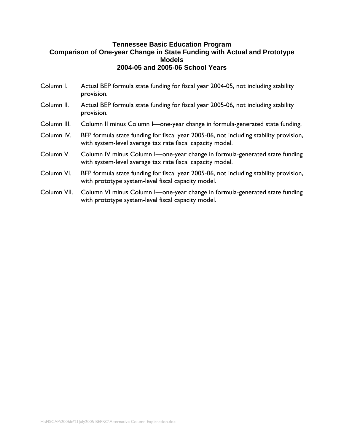- Column I. Actual BEP formula state funding for fiscal year 2004-05, not including stability provision.
- Column II. Actual BEP formula state funding for fiscal year 2005-06, not including stability provision.
- Column III. Column II minus Column I—one-year change in formula-generated state funding.
- Column IV. BEP formula state funding for fiscal year 2005-06, not including stability provision, with system-level average tax rate fiscal capacity model.
- Column V. Column IV minus Column I—one-year change in formula-generated state funding with system-level average tax rate fiscal capacity model.
- Column VI. BEP formula state funding for fiscal year 2005-06, not including stability provision, with prototype system-level fiscal capacity model.
- Column VII. Column VI minus Column I—one-year change in formula-generated state funding with prototype system-level fiscal capacity model.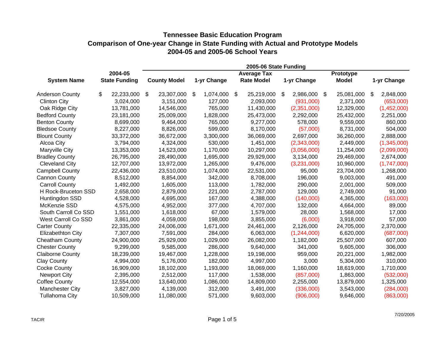| 2005-06 State Funding      |         |                      |    |                     |    |             |                    |                 |     |              |                 |
|----------------------------|---------|----------------------|----|---------------------|----|-------------|--------------------|-----------------|-----|--------------|-----------------|
|                            | 2004-05 |                      |    |                     |    |             | <b>Average Tax</b> |                 |     | Prototype    |                 |
| <b>System Name</b>         |         | <b>State Funding</b> |    | <b>County Model</b> |    | 1-yr Change | <b>Rate Model</b>  | 1-yr Change     |     | <b>Model</b> | 1-yr Change     |
| <b>Anderson County</b>     | \$      | 22,233,000           | \$ | 23,307,000          | \$ | 1,074,000   | \$<br>25,219,000   | \$<br>2,986,000 | -\$ | 25,081,000   | \$<br>2,848,000 |
| <b>Clinton City</b>        |         | 3,024,000            |    | 3,151,000           |    | 127,000     | 2,093,000          | (931,000)       |     | 2,371,000    | (653,000)       |
| Oak Ridge City             |         | 13,781,000           |    | 14,546,000          |    | 765,000     | 11,430,000         | (2,351,000)     |     | 12,329,000   | (1,452,000)     |
| <b>Bedford County</b>      |         | 23,181,000           |    | 25,009,000          |    | 1,828,000   | 25,473,000         | 2,292,000       |     | 25,432,000   | 2,251,000       |
| <b>Benton County</b>       |         | 8,699,000            |    | 9,464,000           |    | 765,000     | 9,277,000          | 578,000         |     | 9,559,000    | 860,000         |
| <b>Bledsoe County</b>      |         | 8,227,000            |    | 8,826,000           |    | 599,000     | 8,170,000          | (57,000)        |     | 8,731,000    | 504,000         |
| <b>Blount County</b>       |         | 33,372,000           |    | 36,672,000          |    | 3,300,000   | 36,069,000         | 2,697,000       |     | 36,260,000   | 2,888,000       |
| Alcoa City                 |         | 3,794,000            |    | 4,324,000           |    | 530,000     | 1,451,000          | (2,343,000)     |     | 2,449,000    | (1,345,000)     |
| Maryville City             |         | 13,353,000           |    | 14,523,000          |    | 1,170,000   | 10,297,000         | (3,056,000)     |     | 11,254,000   | (2,099,000)     |
| <b>Bradley County</b>      |         | 26,795,000           |    | 28,490,000          |    | 1,695,000   | 29,929,000         | 3,134,000       |     | 29,469,000   | 2,674,000       |
| <b>Cleveland City</b>      |         | 12,707,000           |    | 13,972,000          |    | 1,265,000   | 9,476,000          | (3,231,000)     |     | 10,960,000   | (1,747,000)     |
| <b>Campbell County</b>     |         | 22,436,000           |    | 23,510,000          |    | 1,074,000   | 22,531,000         | 95,000          |     | 23,704,000   | 1,268,000       |
| <b>Cannon County</b>       |         | 8,512,000            |    | 8,854,000           |    | 342,000     | 8,708,000          | 196,000         |     | 9,003,000    | 491,000         |
| <b>Carroll County</b>      |         | 1,492,000            |    | 1,605,000           |    | 113,000     | 1,782,000          | 290,000         |     | 2,001,000    | 509,000         |
| H Rock-Bruceton SSD        |         | 2,658,000            |    | 2,879,000           |    | 221,000     | 2,787,000          | 129,000         |     | 2,749,000    | 91,000          |
| Huntingdon SSD             |         | 4,528,000            |    | 4,695,000           |    | 167,000     | 4,388,000          | (140,000)       |     | 4,365,000    | (163,000)       |
| McKenzie SSD               |         | 4,575,000            |    | 4,952,000           |    | 377,000     | 4,707,000          | 132,000         |     | 4,664,000    | 89,000          |
| South Carroll Co SSD       |         | 1,551,000            |    | 1,618,000           |    | 67,000      | 1,579,000          | 28,000          |     | 1,568,000    | 17,000          |
| <b>West Carroll Co SSD</b> |         | 3,861,000            |    | 4,059,000           |    | 198,000     | 3,855,000          | (6,000)         |     | 3,918,000    | 57,000          |
| <b>Carter County</b>       |         | 22,335,000           |    | 24,006,000          |    | 1,671,000   | 24,461,000         | 2,126,000       |     | 24,705,000   | 2,370,000       |
| Elizabethton City          |         | 7,307,000            |    | 7,591,000           |    | 284,000     | 6,063,000          | (1,244,000)     |     | 6,620,000    | (687,000)       |
| <b>Cheatham County</b>     |         | 24,900,000           |    | 25,929,000          |    | 1,029,000   | 26,082,000         | 1,182,000       |     | 25,507,000   | 607,000         |
| <b>Chester County</b>      |         | 9,299,000            |    | 9,585,000           |    | 286,000     | 9,640,000          | 341,000         |     | 9,605,000    | 306,000         |
| <b>Claiborne County</b>    |         | 18,239,000           |    | 19,467,000          |    | 1,228,000   | 19,198,000         | 959,000         |     | 20,221,000   | 1,982,000       |
| <b>Clay County</b>         |         | 4,994,000            |    | 5,176,000           |    | 182,000     | 4,997,000          | 3,000           |     | 5,304,000    | 310,000         |
| <b>Cocke County</b>        |         | 16,909,000           |    | 18,102,000          |    | 1,193,000   | 18,069,000         | 1,160,000       |     | 18,619,000   | 1,710,000       |
| <b>Newport City</b>        |         | 2,395,000            |    | 2,512,000           |    | 117,000     | 1,538,000          | (857,000)       |     | 1,863,000    | (532,000)       |
| <b>Coffee County</b>       |         | 12,554,000           |    | 13,640,000          |    | 1,086,000   | 14,809,000         | 2,255,000       |     | 13,879,000   | 1,325,000       |
| <b>Manchester City</b>     |         | 3,827,000            |    | 4,139,000           |    | 312,000     | 3,491,000          | (336,000)       |     | 3,543,000    | (284,000)       |
| <b>Tullahoma City</b>      |         | 10,509,000           |    | 11,080,000          |    | 571,000     | 9,603,000          | (906,000)       |     | 9,646,000    | (863,000)       |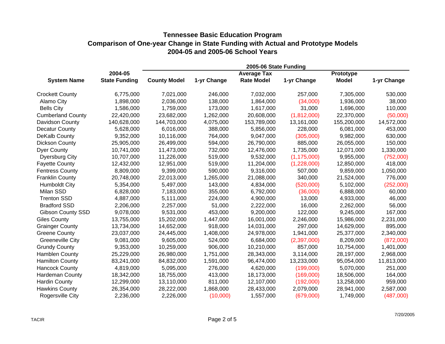|                          |                      |                     |             | 2005-06 State Funding |               |              |             |
|--------------------------|----------------------|---------------------|-------------|-----------------------|---------------|--------------|-------------|
|                          | 2004-05              |                     |             | <b>Average Tax</b>    |               | Prototype    |             |
| <b>System Name</b>       | <b>State Funding</b> | <b>County Model</b> | 1-yr Change | <b>Rate Model</b>     | 1-yr Change   | <b>Model</b> | 1-yr Change |
| <b>Crockett County</b>   | 6,775,000            | 7,021,000           | 246,000     | 7,032,000             | 257,000       | 7,305,000    | 530,000     |
| Alamo City               | 1,898,000            | 2,036,000           | 138,000     | 1,864,000             | (34,000)      | 1,936,000    | 38,000      |
| <b>Bells City</b>        | 1,586,000            | 1,759,000           | 173,000     | 1,617,000             | 31,000        | 1,696,000    | 110,000     |
| <b>Cumberland County</b> | 22,420,000           | 23,682,000          | 1,262,000   | 20,608,000            | (1,812,000)   | 22,370,000   | (50,000)    |
| Davidson County          | 140,628,000          | 144,703,000         | 4,075,000   | 153,789,000           | 13,161,000    | 155,200,000  | 14,572,000  |
| <b>Decatur County</b>    | 5,628,000            | 6,016,000           | 388,000     | 5,856,000             | 228,000       | 6,081,000    | 453,000     |
| DeKalb County            | 9,352,000            | 10,116,000          | 764,000     | 9,047,000             | (305,000)     | 9,982,000    | 630,000     |
| <b>Dickson County</b>    | 25,905,000           | 26,499,000          | 594,000     | 26,790,000            | 885,000       | 26,055,000   | 150,000     |
| <b>Dyer County</b>       | 10,741,000           | 11,473,000          | 732,000     | 12,476,000            | 1,735,000     | 12,071,000   | 1,330,000   |
| <b>Dyersburg City</b>    | 10,707,000           | 11,226,000          | 519,000     | 9,532,000             | (1, 175, 000) | 9,955,000    | (752,000)   |
| <b>Fayette County</b>    | 12,432,000           | 12,951,000          | 519,000     | 11,204,000            | (1,228,000)   | 12,850,000   | 418,000     |
| <b>Fentress County</b>   | 8,809,000            | 9,399,000           | 590,000     | 9,316,000             | 507,000       | 9,859,000    | 1,050,000   |
| <b>Franklin County</b>   | 20,748,000           | 22,013,000          | 1,265,000   | 21,088,000            | 340,000       | 21,524,000   | 776,000     |
| <b>Humboldt City</b>     | 5,354,000            | 5,497,000           | 143,000     | 4,834,000             | (520,000)     | 5,102,000    | (252,000)   |
| Milan SSD                | 6,828,000            | 7,183,000           | 355,000     | 6,792,000             | (36,000)      | 6,888,000    | 60,000      |
| <b>Trenton SSD</b>       | 4,887,000            | 5,111,000           | 224,000     | 4,900,000             | 13,000        | 4,933,000    | 46,000      |
| <b>Bradford SSD</b>      | 2,206,000            | 2,257,000           | 51,000      | 2,222,000             | 16,000        | 2,262,000    | 56,000      |
| <b>Gibson County SSD</b> | 9,078,000            | 9,531,000           | 453,000     | 9,200,000             | 122,000       | 9,245,000    | 167,000     |
| <b>Giles County</b>      | 13,755,000           | 15,202,000          | 1,447,000   | 16,001,000            | 2,246,000     | 15,986,000   | 2,231,000   |
| <b>Grainger County</b>   | 13,734,000           | 14,652,000          | 918,000     | 14,031,000            | 297,000       | 14,629,000   | 895,000     |
| <b>Greene County</b>     | 23,037,000           | 24,445,000          | 1,408,000   | 24,978,000            | 1,941,000     | 25,377,000   | 2,340,000   |
| <b>Greeneville City</b>  | 9,081,000            | 9,605,000           | 524,000     | 6,684,000             | (2,397,000)   | 8,209,000    | (872,000)   |
| <b>Grundy County</b>     | 9,353,000            | 10,259,000          | 906,000     | 10,210,000            | 857,000       | 10,754,000   | 1,401,000   |
| <b>Hamblen County</b>    | 25,229,000           | 26,980,000          | 1,751,000   | 28,343,000            | 3,114,000     | 28,197,000   | 2,968,000   |
| <b>Hamilton County</b>   | 83,241,000           | 84,832,000          | 1,591,000   | 96,474,000            | 13,233,000    | 95,054,000   | 11,813,000  |
| <b>Hancock County</b>    | 4,819,000            | 5,095,000           | 276,000     | 4,620,000             | (199,000)     | 5,070,000    | 251,000     |
| Hardeman County          | 18,342,000           | 18,755,000          | 413,000     | 18,173,000            | (169,000)     | 18,506,000   | 164,000     |
| <b>Hardin County</b>     | 12,299,000           | 13,110,000          | 811,000     | 12,107,000            | (192,000)     | 13,258,000   | 959,000     |
| <b>Hawkins County</b>    | 26,354,000           | 28,222,000          | 1,868,000   | 28,433,000            | 2,079,000     | 28,941,000   | 2,587,000   |
| Rogersville City         | 2,236,000            | 2,226,000           | (10,000)    | 1,557,000             | (679,000)     | 1,749,000    | (487,000)   |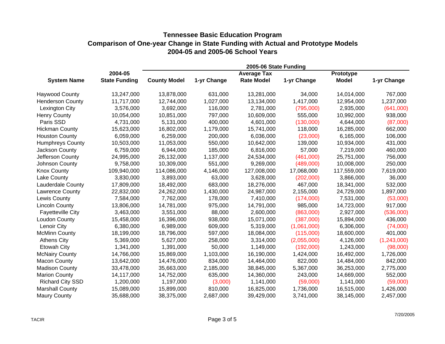|                          |                      | 2005-06 State Funding |             |                    |             |              |             |  |  |  |  |
|--------------------------|----------------------|-----------------------|-------------|--------------------|-------------|--------------|-------------|--|--|--|--|
|                          | 2004-05              |                       |             | <b>Average Tax</b> |             | Prototype    |             |  |  |  |  |
| <b>System Name</b>       | <b>State Funding</b> | <b>County Model</b>   | 1-yr Change | <b>Rate Model</b>  | 1-yr Change | <b>Model</b> | 1-yr Change |  |  |  |  |
| <b>Haywood County</b>    | 13,247,000           | 13,878,000            | 631,000     | 13,281,000         | 34,000      | 14,014,000   | 767,000     |  |  |  |  |
| <b>Henderson County</b>  | 11,717,000           | 12,744,000            | 1,027,000   | 13,134,000         | 1,417,000   | 12,954,000   | 1,237,000   |  |  |  |  |
| Lexington City           | 3,576,000            | 3,692,000             | 116,000     | 2,781,000          | (795,000)   | 2,935,000    | (641,000)   |  |  |  |  |
| <b>Henry County</b>      | 10,054,000           | 10,851,000            | 797,000     | 10,609,000         | 555,000     | 10,992,000   | 938,000     |  |  |  |  |
| Paris SSD                | 4,731,000            | 5,131,000             | 400,000     | 4,601,000          | (130,000)   | 4,644,000    | (87,000)    |  |  |  |  |
| <b>Hickman County</b>    | 15,623,000           | 16,802,000            | 1,179,000   | 15,741,000         | 118,000     | 16,285,000   | 662,000     |  |  |  |  |
| <b>Houston County</b>    | 6,059,000            | 6,259,000             | 200,000     | 6,036,000          | (23,000)    | 6,165,000    | 106,000     |  |  |  |  |
| <b>Humphreys County</b>  | 10,503,000           | 11,053,000            | 550,000     | 10,642,000         | 139,000     | 10,934,000   | 431,000     |  |  |  |  |
| Jackson County           | 6,759,000            | 6,944,000             | 185,000     | 6,816,000          | 57,000      | 7,219,000    | 460,000     |  |  |  |  |
| Jefferson County         | 24,995,000           | 26,132,000            | 1,137,000   | 24,534,000         | (461,000)   | 25,751,000   | 756,000     |  |  |  |  |
| Johnson County           | 9,758,000            | 10,309,000            | 551,000     | 9,269,000          | (489,000)   | 10,008,000   | 250,000     |  |  |  |  |
| <b>Knox County</b>       | 109,940,000          | 114,086,000           | 4,146,000   | 127,008,000        | 17,068,000  | 117,559,000  | 7,619,000   |  |  |  |  |
| Lake County              | 3,830,000            | 3,893,000             | 63,000      | 3,628,000          | (202,000)   | 3,866,000    | 36,000      |  |  |  |  |
| <b>Lauderdale County</b> | 17,809,000           | 18,492,000            | 683,000     | 18,276,000         | 467,000     | 18,341,000   | 532,000     |  |  |  |  |
| Lawrence County          | 22,832,000           | 24,262,000            | 1,430,000   | 24,987,000         | 2,155,000   | 24,729,000   | 1,897,000   |  |  |  |  |
| Lewis County             | 7,584,000            | 7,762,000             | 178,000     | 7,410,000          | (174,000)   | 7,531,000    | (53,000)    |  |  |  |  |
| <b>Lincoln County</b>    | 13,806,000           | 14,781,000            | 975,000     | 14,791,000         | 985,000     | 14,723,000   | 917,000     |  |  |  |  |
| <b>Fayetteville City</b> | 3,463,000            | 3,551,000             | 88,000      | 2,600,000          | (863,000)   | 2,927,000    | (536,000)   |  |  |  |  |
| <b>Loudon County</b>     | 15,458,000           | 16,396,000            | 938,000     | 15,071,000         | (387,000)   | 15,894,000   | 436,000     |  |  |  |  |
| Lenoir City              | 6,380,000            | 6,989,000             | 609,000     | 5,319,000          | (1,061,000) | 6,306,000    | (74,000)    |  |  |  |  |
| <b>McMinn County</b>     | 18,199,000           | 18,796,000            | 597,000     | 18,084,000         | (115,000)   | 18,600,000   | 401,000     |  |  |  |  |
| <b>Athens City</b>       | 5,369,000            | 5,627,000             | 258,000     | 3,314,000          | (2,055,000) | 4,126,000    | (1,243,000) |  |  |  |  |
| <b>Etowah City</b>       | 1,341,000            | 1,391,000             | 50,000      | 1,149,000          | (192,000)   | 1,243,000    | (98,000)    |  |  |  |  |
| <b>McNairy County</b>    | 14,766,000           | 15,869,000            | 1,103,000   | 16,190,000         | 1,424,000   | 16,492,000   | 1,726,000   |  |  |  |  |
| <b>Macon County</b>      | 13,642,000           | 14,476,000            | 834,000     | 14,464,000         | 822,000     | 14,484,000   | 842,000     |  |  |  |  |
| <b>Madison County</b>    | 33,478,000           | 35,663,000            | 2,185,000   | 38,845,000         | 5,367,000   | 36,253,000   | 2,775,000   |  |  |  |  |
| <b>Marion County</b>     | 14,117,000           | 14,752,000            | 635,000     | 14,360,000         | 243,000     | 14,669,000   | 552,000     |  |  |  |  |
| <b>Richard City SSD</b>  | 1,200,000            | 1,197,000             | (3,000)     | 1,141,000          | (59,000)    | 1,141,000    | (59,000)    |  |  |  |  |
| <b>Marshall County</b>   | 15,089,000           | 15,899,000            | 810,000     | 16,825,000         | 1,736,000   | 16,515,000   | 1,426,000   |  |  |  |  |
| <b>Maury County</b>      | 35,688,000           | 38,375,000            | 2,687,000   | 39,429,000         | 3,741,000   | 38,145,000   | 2,457,000   |  |  |  |  |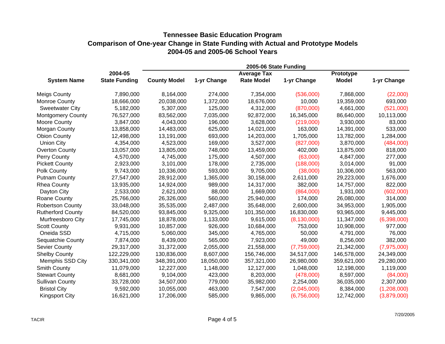|                          |                      | 2005-06 State Funding |             |                    |               |              |             |  |  |  |  |
|--------------------------|----------------------|-----------------------|-------------|--------------------|---------------|--------------|-------------|--|--|--|--|
|                          | 2004-05              |                       |             | <b>Average Tax</b> |               | Prototype    |             |  |  |  |  |
| <b>System Name</b>       | <b>State Funding</b> | <b>County Model</b>   | 1-yr Change | <b>Rate Model</b>  | 1-yr Change   | <b>Model</b> | 1-yr Change |  |  |  |  |
| <b>Meigs County</b>      | 7,890,000            | 8,164,000             | 274,000     | 7,354,000          | (536,000)     | 7,868,000    | (22,000)    |  |  |  |  |
| Monroe County            | 18,666,000           | 20,038,000            | 1,372,000   | 18,676,000         | 10,000        | 19,359,000   | 693,000     |  |  |  |  |
| <b>Sweetwater City</b>   | 5,182,000            | 5,307,000             | 125,000     | 4,312,000          | (870,000)     | 4,661,000    | (521,000)   |  |  |  |  |
| <b>Montgomery County</b> | 76,527,000           | 83,562,000            | 7,035,000   | 92,872,000         | 16,345,000    | 86,640,000   | 10,113,000  |  |  |  |  |
| Moore County             | 3,847,000            | 4,043,000             | 196,000     | 3,628,000          | (219,000)     | 3,930,000    | 83,000      |  |  |  |  |
| Morgan County            | 13,858,000           | 14,483,000            | 625,000     | 14,021,000         | 163,000       | 14,391,000   | 533,000     |  |  |  |  |
| <b>Obion County</b>      | 12,498,000           | 13,191,000            | 693,000     | 14,203,000         | 1,705,000     | 13,782,000   | 1,284,000   |  |  |  |  |
| <b>Union City</b>        | 4,354,000            | 4,523,000             | 169,000     | 3,527,000          | (827,000)     | 3,870,000    | (484,000)   |  |  |  |  |
| <b>Overton County</b>    | 13,057,000           | 13,805,000            | 748,000     | 13,459,000         | 402,000       | 13,875,000   | 818,000     |  |  |  |  |
| Perry County             | 4,570,000            | 4,745,000             | 175,000     | 4,507,000          | (63,000)      | 4,847,000    | 277,000     |  |  |  |  |
| <b>Pickett County</b>    | 2,923,000            | 3,101,000             | 178,000     | 2,735,000          | (188,000)     | 3,014,000    | 91,000      |  |  |  |  |
| Polk County              | 9,743,000            | 10,336,000            | 593,000     | 9,705,000          | (38,000)      | 10,306,000   | 563,000     |  |  |  |  |
| <b>Putnam County</b>     | 27,547,000           | 28,912,000            | 1,365,000   | 30,158,000         | 2,611,000     | 29,223,000   | 1,676,000   |  |  |  |  |
| <b>Rhea County</b>       | 13,935,000           | 14,924,000            | 989,000     | 14,317,000         | 382,000       | 14,757,000   | 822,000     |  |  |  |  |
| Dayton City              | 2,533,000            | 2,621,000             | 88,000      | 1,669,000          | (864,000)     | 1,931,000    | (602,000)   |  |  |  |  |
| Roane County             | 25,766,000           | 26,326,000            | 560,000     | 25,940,000         | 174,000       | 26,080,000   | 314,000     |  |  |  |  |
| <b>Robertson County</b>  | 33,048,000           | 35,535,000            | 2,487,000   | 35,648,000         | 2,600,000     | 34,953,000   | 1,905,000   |  |  |  |  |
| <b>Rutherford County</b> | 84,520,000           | 93,845,000            | 9,325,000   | 101,350,000        | 16,830,000    | 93,965,000   | 9,445,000   |  |  |  |  |
| Murfreesboro City        | 17,745,000           | 18,878,000            | 1,133,000   | 9,615,000          | (8, 130, 000) | 11,347,000   | (6,398,000) |  |  |  |  |
| <b>Scott County</b>      | 9,931,000            | 10,857,000            | 926,000     | 10,684,000         | 753,000       | 10,908,000   | 977,000     |  |  |  |  |
| Oneida SSD               | 4,715,000            | 5,060,000             | 345,000     | 4,765,000          | 50,000        | 4,791,000    | 76,000      |  |  |  |  |
| Sequatchie County        | 7,874,000            | 8,439,000             | 565,000     | 7,923,000          | 49,000        | 8,256,000    | 382,000     |  |  |  |  |
| Sevier County            | 29,317,000           | 31,372,000            | 2,055,000   | 21,558,000         | (7,759,000)   | 21,342,000   | (7,975,000) |  |  |  |  |
| <b>Shelby County</b>     | 122,229,000          | 130,836,000           | 8,607,000   | 156,746,000        | 34,517,000    | 146,578,000  | 24,349,000  |  |  |  |  |
| Memphis SSD City         | 330,341,000          | 348,391,000           | 18,050,000  | 357,321,000        | 26,980,000    | 359,621,000  | 29,280,000  |  |  |  |  |
| <b>Smith County</b>      | 11,079,000           | 12,227,000            | 1,148,000   | 12,127,000         | 1,048,000     | 12,198,000   | 1,119,000   |  |  |  |  |
| <b>Stewart County</b>    | 8,681,000            | 9,104,000             | 423,000     | 8,203,000          | (478,000)     | 8,597,000    | (84,000)    |  |  |  |  |
| <b>Sullivan County</b>   | 33,728,000           | 34,507,000            | 779,000     | 35,982,000         | 2,254,000     | 36,035,000   | 2,307,000   |  |  |  |  |
| <b>Bristol City</b>      | 9,592,000            | 10,055,000            | 463,000     | 7,547,000          | (2,045,000)   | 8,384,000    | (1,208,000) |  |  |  |  |
| <b>Kingsport City</b>    | 16,621,000           | 17,206,000            | 585,000     | 9,865,000          | (6,756,000)   | 12,742,000   | (3,879,000) |  |  |  |  |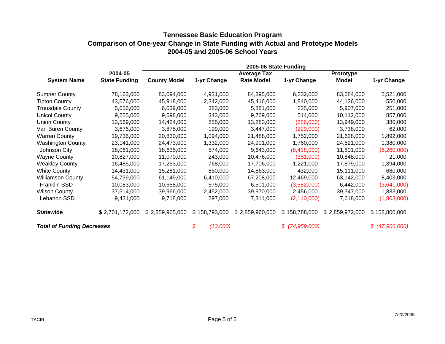|                                   |                      | 2005-06 State Funding |                |                    |                  |                 |                |  |  |  |  |
|-----------------------------------|----------------------|-----------------------|----------------|--------------------|------------------|-----------------|----------------|--|--|--|--|
|                                   | 2004-05              |                       |                | <b>Average Tax</b> |                  | Prototype       |                |  |  |  |  |
| <b>System Name</b>                | <b>State Funding</b> | <b>County Model</b>   | 1-yr Change    | <b>Rate Model</b>  | 1-yr Change      | Model           | 1-yr Change    |  |  |  |  |
| <b>Sumner County</b>              | 78,163,000           | 83,094,000            | 4,931,000      | 84,395,000         | 6,232,000        | 83,684,000      | 5,521,000      |  |  |  |  |
| <b>Tipton County</b>              | 43,576,000           | 45,918,000            | 2,342,000      | 45,416,000         | 1,840,000        | 44,126,000      | 550,000        |  |  |  |  |
| <b>Trousdale County</b>           | 5,656,000            | 6,039,000             | 383,000        | 5,881,000          | 225,000          | 5,907,000       | 251,000        |  |  |  |  |
| <b>Unicoi County</b>              | 9,255,000            | 9,598,000             | 343,000        | 9,769,000          | 514,000          | 10,112,000      | 857,000        |  |  |  |  |
| <b>Union County</b>               | 13,569,000           | 14,424,000            | 855,000        | 13,283,000         | (286,000)        | 13,949,000      | 380,000        |  |  |  |  |
| Van Buren County                  | 3,676,000            | 3,875,000             | 199,000        | 3,447,000          | (229,000)        | 3,738,000       | 62,000         |  |  |  |  |
| <b>Warren County</b>              | 19,736,000           | 20,830,000            | 1,094,000      | 21,488,000         | 1,752,000        | 21,628,000      | 1,892,000      |  |  |  |  |
| <b>Washington County</b>          | 23,141,000           | 24,473,000            | 1,332,000      | 24,901,000         | 1,760,000        | 24,521,000      | 1,380,000      |  |  |  |  |
| Johnson City                      | 18,061,000           | 18,635,000            | 574,000        | 9,643,000          | (8,418,000)      | 11,801,000      | (6,260,000)    |  |  |  |  |
| <b>Wayne County</b>               | 10,827,000           | 11,070,000            | 243,000        | 10,476,000         | (351,000)        | 10,848,000      | 21,000         |  |  |  |  |
| <b>Weakley County</b>             | 16,485,000           | 17,253,000            | 768,000        | 17,706,000         | 1,221,000        | 17,879,000      | 1,394,000      |  |  |  |  |
| <b>White County</b>               | 14,431,000           | 15,281,000            | 850,000        | 14,863,000         | 432,000          | 15,111,000      | 680,000        |  |  |  |  |
| <b>Williamson County</b>          | 54,739,000           | 61,149,000            | 6,410,000      | 67,208,000         | 12,469,000       | 63,142,000      | 8,403,000      |  |  |  |  |
| <b>Franklin SSD</b>               | 10,083,000           | 10,658,000            | 575,000        | 6,501,000          | (3,582,000)      | 6,442,000       | (3,641,000)    |  |  |  |  |
| <b>Wilson County</b>              | 37,514,000           | 39,966,000            | 2,452,000      | 39,970,000         | 2,456,000        | 39,347,000      | 1,833,000      |  |  |  |  |
| Lebanon SSD                       | 9,421,000            | 9,718,000             | 297,000        | 7,311,000          | (2, 110, 000)    | 7,618,000       | (1,803,000)    |  |  |  |  |
| <b>Statewide</b>                  | \$2,701,172,000      | \$2,859,965,000       | \$158,793,000  | \$2,859,960,000    | \$158,788,000    | \$2,859,972,000 | \$158,800,000  |  |  |  |  |
| <b>Total of Funding Decreases</b> |                      |                       | \$<br>(13,000) |                    | $$$ (74,959,000) |                 | \$(47,906,000) |  |  |  |  |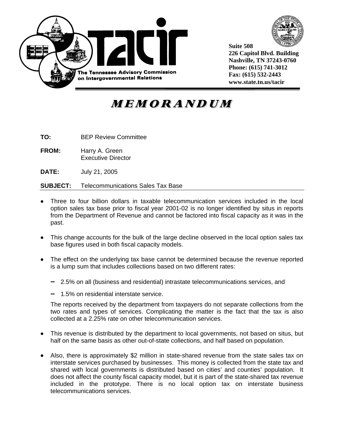



**Suite 508 226 Capitol Blvd. Building Nashville, TN 37243-0760 Phone: (615) 741-3012 Fax: (615) 532-2443 www.state.tn.us/tacir** 

## **MEMORANDUM**

**TO:** BEP Review Committee

**FROM:** Harry A. Green Executive Director

**DATE:** July 21, 2005

**SUBJECT:** Telecommunications Sales Tax Base

- Three to four billion dollars in taxable telecommunication services included in the local option sales tax base prior to fiscal year 2001-02 is no longer identified by situs in reports from the Department of Revenue and cannot be factored into fiscal capacity as it was in the past.
- This change accounts for the bulk of the large decline observed in the local option sales tax base figures used in both fiscal capacity models.
- The effect on the underlying tax base cannot be determined because the revenue reported is a lump sum that includes collections based on two different rates:
	- 2.5% on all (business and residential) intrastate telecommunications services, and
	- 1.5% on residential interstate service.

The reports received by the department from taxpayers do not separate collections from the two rates and types of services. Complicating the matter is the fact that the tax is also collected at a 2.25% rate on other telecommunication services.

- This revenue is distributed by the department to local governments, not based on situs, but half on the same basis as other out-of-state collections, and half based on population.
- Also, there is approximately \$2 million in state-shared revenue from the state sales tax on interstate services purchased by businesses. This money is collected from the state tax and shared with local governments is distributed based on cities' and counties' population. It does not affect the county fiscal capacity model, but it is part of the state-shared tax revenue included in the prototype. There is no local option tax on interstate business telecommunications services.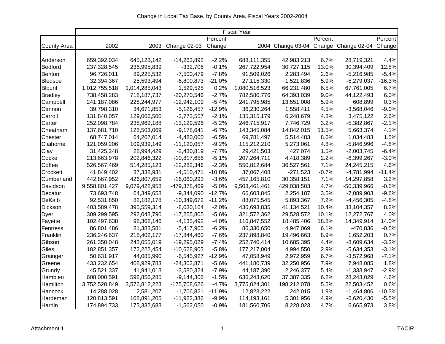|                    |               |               |               |          | <b>Fiscal Year</b> |             |         |                                              |          |
|--------------------|---------------|---------------|---------------|----------|--------------------|-------------|---------|----------------------------------------------|----------|
|                    |               |               |               | Percent  |                    |             | Percent |                                              | Percent  |
| <b>County Area</b> | 2002          | 2003          | Change 02-03  | Change   |                    |             |         | 2004 Change 03-04 Change Change 02-04 Change |          |
|                    |               |               |               |          |                    |             |         |                                              |          |
| Anderson           | 659,392,034   | 645,128,142   | -14,263,892   | $-2.2%$  | 688,111,355        | 42,983,213  | 6.7%    | 28,719,321                                   | 4.4%     |
| Bedford            | 237,328,545   | 236,995,839   | $-332,706$    | $-0.1%$  | 267,722,954        | 30,727,115  | 13.0%   | 30,394,409                                   | 12.8%    |
| <b>Benton</b>      | 96,726,011    | 89,225,532    | $-7,500,479$  | $-7.8%$  | 91,509,026         | 2,283,494   | 2.6%    | -5,216,985                                   | $-5.4%$  |
| <b>Bledsoe</b>     | 32,394,367    | 25,593,494    | $-6,800,873$  | $-21.0%$ | 27,115,330         | 1,521,836   | 5.9%    | $-5,279,037$                                 | $-16.3%$ |
| <b>Blount</b>      | 1,012,755,518 | 1,014,285,043 | 1,529,525     | 0.2%     | 1,080,516,523      | 66,231,480  | 6.5%    | 67,761,005                                   | 6.7%     |
| <b>Bradley</b>     | 738,458,283   | 718, 187, 737 | $-20,270,546$ | $-2.7%$  | 782,580,776        | 64,393,039  | 9.0%    | 44,122,493                                   | 6.0%     |
| Campbell           | 241,187,086   | 228,244,977   | $-12,942,109$ | $-5.4\%$ | 241,795,985        | 13,551,008  | 5.9%    | 608,899                                      | 0.3%     |
| Cannon             | 39,798,310    | 34,671,853    | $-5,126,457$  | $-12.9%$ | 36,230,264         | 1,558,411   | 4.5%    | $-3,568,046$                                 | $-9.0%$  |
| Carroll            | 131,840,057   | 129,066,500   | $-2,773,557$  | $-2.1\%$ | 135,315,179        | 6,248,679   | 4.8%    | 3,475,122                                    | 2.6%     |
| Carter             | 252,098,784   | 238,969,188   | $-13,129,596$ | $-5.2%$  | 246,715,917        | 7,746,729   | 3.2%    | $-5,382,867$                                 | $-2.1%$  |
| Cheatham           | 137,681,710   | 128,503,069   | $-9,178,641$  | $-6.7%$  | 143,345,084        | 14,842,015  | 11.5%   | 5,663,374                                    | 4.1%     |
| <b>Chester</b>     | 68,747,014    | 64,267,014    | $-4,480,000$  | $-6.5%$  | 69,781,497         | 5,514,483   | 8.6%    | 1,034,483                                    | 1.5%     |
| Claiborne          | 121,059,206   | 109,939,149   | $-11,120,057$ | $-9.2%$  | 115,212,210        | 5,273,061   | 4.8%    | $-5,846,996$                                 | $-4.8%$  |
| Clay               | 31,425,248    | 28,994,429    | $-2,430,819$  | $-7.7%$  | 29,421,503         | 427,074     | 1.5%    | $-2,003,745$                                 | $-6.4%$  |
| Cocke              | 213,663,978   | 202,846,322   | $-10,817,656$ | $-5.1%$  | 207,264,711        | 4,418,389   | 2.2%    | $-6,399,267$                                 | $-3.0%$  |
| Coffee             | 526,567,469   | 514,285,123   | $-12,282,346$ | $-2.3%$  | 550,812,684        | 36,527,561  | 7.1%    | 24,245,215                                   | 4.6%     |
| Crockett           | 41,849,402    | 37,338,931    | $-4,510,471$  | -10.8%   | 37,067,408         | -271,523    | $-0.7%$ | $-4,781,994$                                 | $-11.4%$ |
| Cumberland         | 442,867,952   | 426,807,659   | $-16,060,293$ | $-3.6%$  | 457,165,810        | 30,358,151  | 7.1%    | 14,297,858                                   | 3.2%     |
| Davidson           | 9,558,801,427 | 9,079,422,958 | -479,378,469  | $-5.0%$  | 9,508,461,461      | 429,038,503 | 4.7%    | -50,339,966                                  | $-0.5%$  |
| Decatur            | 73,693,748    | 64,349,658    | $-9,344,090$  | $-12.7%$ | 66,603,845         | 2,254,187   | 3.5%    | $-7,089,903$                                 | $-9.6%$  |
| DeKalb             | 92,531,850    | 82,182,178    | $-10,349,672$ | $-11.2%$ | 88,075,545         | 5,893,367   | 7.2%    | $-4,456,305$                                 | $-4.8%$  |
| Dickson            | 403,589,478   | 395,559,314   | $-8,030,164$  | $-2.0\%$ | 436,693,835        | 41,134,521  | 10.4%   | 33,104,357                                   | 8.2%     |
| <b>Dyer</b>        | 309,299,595   | 292,043,790   | $-17,255,805$ | $-5.6%$  | 321,572,362        | 29,528,572  | 10.1%   | 12,272,767                                   | 4.0%     |
| Fayette            | 102,497,638   | 98,362,146    | $-4,135,492$  | $-4.0%$  | 116,847,552        | 18,485,406  | 18.8%   | 14,349,914                                   | 14.0%    |
| Fentress           | 86,801,486    | 81,383,581    | $-5,417,905$  | $-6.2%$  | 86,330,650         | 4,947,069   | 6.1%    | -470,836                                     | $-0.5%$  |
| Franklin           | 236,246,637   | 218,402,177   | -17,844,460   | $-7.6%$  | 237,898,840        | 19,496,663  | 8.9%    | 1,652,203                                    | 0.7%     |
| Gibson             | 261,350,048   | 242,055,019   | -19,295,029   | $-7.4%$  | 252,740,414        | 10,685,395  | 4.4%    | $-8,609,634$                                 | $-3.3%$  |
| Giles              | 182,851,357   | 172,222,454   | $-10,628,903$ | $-5.8%$  | 177,217,004        | 4,994,550   | 2.9%    | $-5,634,353$                                 | $-3.1%$  |
| Grainger           | 50,631,917    | 44,085,990    | $-6,545,927$  | $-12.9%$ | 47,058,949         | 2,972,959   | 6.7%    | $-3,572,968$                                 | $-7.1%$  |
| Greene             | 433,232,654   | 408,929,783   | $-24,302,871$ | $-5.6%$  | 441,180,739        | 32,250,956  | 7.9%    | 7,948,085                                    | 1.8%     |
| Grundy             | 45,521,337    | 41,941,013    | $-3,580,324$  | -7.9%    | 44,187,390         | 2,246,377   | 5.4%    | $-1,333,947$                                 | $-2.9%$  |
| Hamblen            | 608,000,591   | 598,856,285   | $-9,144,306$  | $-1.5%$  | 636,243,620        | 37,387,335  | 6.2%    | 28,243,029                                   | 4.6%     |
| Hamilton           | 3,752,520,849 | 3,576,812,223 | -175,708,626  | $-4.7%$  | 3,775,024,301      | 198,212,078 | 5.5%    | 22,503,452                                   | 0.6%     |
| Hancock            | 14,288,028    | 12,581,207    | -1,706,821    | -11.9%   | 12,823,222         | 242,015     | 1.9%    | $-1,464,806$                                 | $-10.3%$ |
| Hardeman           | 120,813,591   | 108,891,205   | $-11,922,386$ | $-9.9%$  | 114,193,161        | 5,301,956   | 4.9%    | $-6,620,430$                                 | $-5.5%$  |
| Hardin             | 174,894,733   | 173,332,683   | $-1,562,050$  | $-0.9%$  | 181,560,706        | 8,228,023   | 4.7%    | 6,665,973                                    | 3.8%     |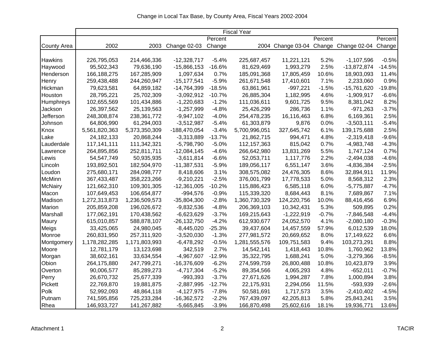|                    |               |               |                 |          | <b>Fiscal Year</b> |              |         |                                              |          |
|--------------------|---------------|---------------|-----------------|----------|--------------------|--------------|---------|----------------------------------------------|----------|
|                    |               |               |                 | Percent  |                    |              | Percent |                                              | Percent  |
| <b>County Area</b> | 2002          | 2003          | Change 02-03    | Change   |                    |              |         | 2004 Change 03-04 Change Change 02-04 Change |          |
|                    |               |               |                 |          |                    |              |         |                                              |          |
| <b>Hawkins</b>     | 226,795,053   | 214,466,336   | $-12,328,717$   | $-5.4%$  | 225,687,457        | 11,221,121   | 5.2%    | $-1,107,596$                                 | $-0.5%$  |
| Haywood            | 95,502,343    | 79,636,190    | $-15,866,153$   | $-16.6%$ | 81,629,469         | 1,993,279    | 2.5%    | $-13,872,874$                                | $-14.5%$ |
| Henderson          | 166, 188, 275 | 167,285,909   | 1,097,634       | 0.7%     | 185,091,368        | 17,805,459   | 10.6%   | 18,903,093                                   | 11.4%    |
| Henry              | 259,438,488   | 244,260,947   | $-15, 177, 541$ | $-5.9%$  | 261,671,548        | 17,410,601   | 7.1%    | 2,233,060                                    | 0.9%     |
| Hickman            | 79,623,581    | 64,859,182    | -14,764,399     | $-18.5%$ | 63,861,961         | $-997,221$   | $-1.5%$ | $-15,761,620$                                | $-19.8%$ |
| Houston            | 28,795,221    | 25,702,309    | $-3,092,912$    | $-10.7%$ | 26,885,304         | 1,182,995    | 4.6%    | $-1,909,917$                                 | $-6.6%$  |
| Humphreys          | 102,655,569   | 101,434,886   | $-1,220,683$    | $-1.2%$  | 111,036,611        | 9,601,725    | 9.5%    | 8,381,042                                    | 8.2%     |
| Jackson            | 26,397,562    | 25,139,563    | $-1,257,999$    | $-4.8%$  | 25,426,299         | 286,736      | 1.1%    | $-971,263$                                   | $-3.7%$  |
| Jefferson          | 248,308,874   | 238,361,772   | $-9,947,102$    | $-4.0%$  | 254,478,235        | 16,116,463   | 6.8%    | 6,169,361                                    | 2.5%     |
| Johnson            | 64,806,990    | 61,294,003    | $-3,512,987$    | $-5.4%$  | 61,303,879         | 9,876        | 0.0%    | $-3,503,111$                                 | $-5.4%$  |
| Knox               | 5,561,820,363 | 5,373,350,309 | -188,470,054    | $-3.4%$  | 5,700,996,051      | 327,645,742  | 6.1%    | 139, 175, 688                                | 2.5%     |
| Lake               | 24, 182, 133  | 20,868,244    | $-3,313,889$    | $-13.7%$ | 21,862,715         | 994,471      | 4.8%    | $-2,319,418$                                 | $-9.6%$  |
| Lauderdale         | 117,141,111   | 111,342,321   | $-5,798,790$    | $-5.0%$  | 112, 157, 363      | 815,042      | 0.7%    | $-4,983,748$                                 | $-4.3%$  |
| Lawrence           | 264,895,856   | 252,811,711   | $-12,084,145$   | $-4.6%$  | 266,642,980        | 13,831,269   | 5.5%    | 1,747,124                                    | 0.7%     |
| Lewis              | 54,547,749    | 50,935,935    | $-3,611,814$    | $-6.6%$  | 52,053,711         | 1,117,776    | 2.2%    | $-2,494,038$                                 | $-4.6%$  |
| Lincoln            | 193,892,501   | 182,504,970   | $-11,387,531$   | $-5.9%$  | 189,056,117        | 6,551,147    | 3.6%    | $-4,836,384$                                 | $-2.5%$  |
| Loudon             | 275,680,171   | 284,098,777   | 8,418,606       | 3.1%     | 308,575,082        | 24,476,305   | 8.6%    | 32,894,911                                   | 11.9%    |
| <b>McMinn</b>      | 367,433,487   | 358,223,266   | $-9,210,221$    | $-2.5%$  | 376,001,799        | 17,778,533   | 5.0%    | 8,568,312                                    | 2.3%     |
| <b>McNairy</b>     | 121,662,310   | 109,301,305   | $-12,361,005$   | $-10.2%$ | 115,886,423        | 6,585,118    | 6.0%    | $-5,775,887$                                 | $-4.7%$  |
| Macon              | 107,649,453   | 106,654,877   | $-994,576$      | $-0.9%$  | 115,339,320        | 8,684,443    | 8.1%    | 7,689,867                                    | 7.1%     |
| Madison            | 1,272,313,873 | 1,236,509,573 | $-35,804,300$   | $-2.8%$  | 1,360,730,329      | 124,220,756  | 10.0%   | 88,416,456                                   | 6.9%     |
| <b>Marion</b>      | 205,859,208   | 196,026,672   | $-9,832,536$    | $-4.8%$  | 206,369,103        | 10,342,431   | 5.3%    | 509,895                                      | 0.2%     |
| Marshall           | 177,062,191   | 170,438,562   | $-6,623,629$    | $-3.7%$  | 169,215,643        | $-1,222,919$ | $-0.7%$ | $-7,846,548$                                 | $-4.4%$  |
| Maury              | 615,010,857   | 588,878,107   | $-26, 132, 750$ | $-4.2%$  | 612,930,677        | 24,052,570   | 4.1%    | $-2,080,180$                                 | $-0.3%$  |
| Meigs              | 33,425,065    | 24,980,045    | $-8,445,020$    | $-25.3%$ | 39,437,604         | 14,457,559   | 57.9%   | 6,012,539                                    | 18.0%    |
| Monroe             | 260,831,950   | 257,311,920   | $-3,520,030$    | $-1.3%$  | 277,981,572        | 20,669,652   | 8.0%    | 17,149,622                                   | 6.6%     |
| Montgomery         | 1,178,282,285 | 1,171,803,993 | $-6,478,292$    | $-0.5%$  | 1,281,555,576      | 109,751,583  | 9.4%    | 103,273,291                                  | 8.8%     |
| Moore              | 12,781,179    | 13,123,698    | 342,519         | 2.7%     | 14,542,141         | 1,418,443    | 10.8%   | 1,760,962                                    | 13.8%    |
| Morgan             | 38,602,161    | 33,634,554    | $-4,967,607$    | $-12.9%$ | 35,322,795         | 1,688,241    | 5.0%    | $-3,279,366$                                 | $-8.5%$  |
| Obion              | 264,175,880   | 247,799,271   | -16,376,609     | $-6.2%$  | 274,599,759        | 26,800,488   | 10.8%   | 10,423,879                                   | 3.9%     |
| Overton            | 90,006,577    | 85,289,273    | $-4,717,304$    | $-5.2%$  | 89,354,566         | 4,065,293    | 4.8%    | $-652,011$                                   | $-0.7%$  |
| Perry              | 26,670,732    | 25,677,339    | $-993,393$      | $-3.7%$  | 27,671,626         | 1,994,287    | 7.8%    | 1,000,894                                    | 3.8%     |
| Pickett            | 22,769,870    | 19,881,875    | $-2,887,995$    | $-12.7%$ | 22,175,931         | 2,294,056    | 11.5%   | -593,939                                     | $-2.6%$  |
| Polk               | 52,992,093    | 48,864,118    | $-4,127,975$    | $-7.8%$  | 50,581,691         | 1,717,573    | 3.5%    | $-2,410,402$                                 | $-4.5%$  |
| Putnam             | 741,595,856   | 725,233,284   | $-16,362,572$   | $-2.2%$  | 767,439,097        | 42,205,813   | 5.8%    | 25,843,241                                   | 3.5%     |
| Rhea               | 146,933,727   | 141,267,882   | $-5,665,845$    | $-3.9%$  | 166,870,498        | 25,602,616   | 18.1%   | 19,936,771                                   | 13.6%    |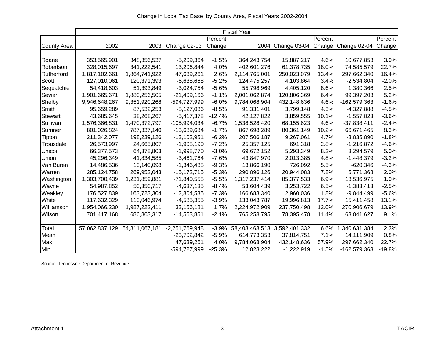|                    |               |                               |                     |          | <b>Fiscal Year</b>           |                                              |         |               |          |
|--------------------|---------------|-------------------------------|---------------------|----------|------------------------------|----------------------------------------------|---------|---------------|----------|
|                    |               |                               |                     | Percent  |                              |                                              | Percent |               | Percent  |
| <b>County Area</b> | 2002          | 2003                          | <b>Change 02-03</b> | Change   |                              | 2004 Change 03-04 Change Change 02-04 Change |         |               |          |
|                    |               |                               |                     |          |                              |                                              |         |               |          |
| Roane              | 353,565,901   | 348,356,537                   | $-5,209,364$        | $-1.5%$  | 364,243,754                  | 15,887,217                                   | 4.6%    | 10,677,853    | 3.0%     |
| Robertson          | 328,015,697   | 341,222,541                   | 13,206,844          | 4.0%     | 402,601,276                  | 61,378,735                                   | 18.0%   | 74,585,579    | 22.7%    |
| Rutherford         | 1,817,102,661 | 1,864,741,922                 | 47,639,261          | 2.6%     | 2,114,765,001                | 250,023,079                                  | 13.4%   | 297,662,340   | 16.4%    |
| Scott              | 127,010,061   | 120,371,393                   | $-6,638,668$        | $-5.2%$  | 124,475,257                  | 4,103,864                                    | 3.4%    | $-2,534,804$  | $-2.0%$  |
| Sequatchie         | 54,418,603    | 51,393,849                    | $-3,024,754$        | $-5.6%$  | 55,798,969                   | 4,405,120                                    | 8.6%    | 1,380,366     | 2.5%     |
| Sevier             | 1,901,665,671 | 1,880,256,505                 | $-21,409,166$       | $-1.1%$  | 2,001,062,874                | 120,806,369                                  | 6.4%    | 99,397,203    | 5.2%     |
| Shelby             | 9,946,648,267 | 9,351,920,268                 | -594,727,999        | $-6.0%$  | 9,784,068,904                | 432,148,636                                  | 4.6%    | -162,579,363  | $-1.6%$  |
| Smith              | 95,659,289    | 87,532,253                    | $-8,127,036$        | $-8.5%$  | 91,331,401                   | 3,799,148                                    | 4.3%    | $-4,327,888$  | $-4.5%$  |
| <b>Stewart</b>     | 43,685,645    | 38,268,267                    | $-5,417,378$        | $-12.4%$ | 42,127,822                   | 3,859,555                                    | 10.1%   | $-1,557,823$  | $-3.6%$  |
| Sullivan           | 1,576,366,831 | 1,470,372,797                 | -105,994,034        | $-6.7%$  | 1,538,528,420                | 68,155,623                                   | 4.6%    | $-37,838,411$ | $-2.4%$  |
| Sumner             | 801,026,824   | 787,337,140                   | -13,689,684         | $-1.7%$  | 867,698,289                  | 80,361,149                                   | 10.2%   | 66,671,465    | 8.3%     |
| Tipton             | 211,342,077   | 198,239,126                   | $-13,102,951$       | $-6.2%$  | 207,506,187                  | 9,267,061                                    | 4.7%    | $-3,835,890$  | $-1.8%$  |
| Trousdale          | 26,573,997    | 24,665,807                    | $-1,908,190$        | $-7.2%$  | 25,357,125                   | 691,318                                      | 2.8%    | $-1,216,872$  | $-4.6%$  |
| Unicoi             | 66,377,573    | 64,378,803                    | $-1,998,770$        | $-3.0%$  | 69,672,152                   | 5,293,349                                    | 8.2%    | 3,294,579     | 5.0%     |
| <b>Union</b>       | 45,296,349    | 41,834,585                    | $-3,461,764$        | $-7.6%$  | 43,847,970                   | 2,013,385                                    | 4.8%    | $-1,448,379$  | $-3.2%$  |
| Van Buren          | 14,486,536    | 13,140,098                    | $-1,346,438$        | $-9.3%$  | 13,866,190                   | 726,092                                      | 5.5%    | $-620,346$    | $-4.3%$  |
| Warren             | 285, 124, 758 | 269,952,043                   | $-15,172,715$       | $-5.3%$  | 290,896,126                  | 20,944,083                                   | 7.8%    | 5,771,368     | 2.0%     |
| Washington         | 1,303,700,439 | 1,231,859,881                 | $-71,840,558$       | $-5.5%$  | 1,317,237,414                | 85,377,533                                   | 6.9%    | 13,536,975    | 1.0%     |
| Wayne              | 54,987,852    | 50,350,717                    | $-4,637,135$        | $-8.4%$  | 53,604,439                   | 3,253,722                                    | 6.5%    | $-1,383,413$  | $-2.5%$  |
| Weakley            | 176,527,839   | 163,723,304                   | $-12,804,535$       | $-7.3%$  | 166,683,340                  | 2,960,036                                    | 1.8%    | $-9,844,499$  | $-5.6%$  |
| White              | 117,632,329   | 113,046,974                   | $-4,585,355$        | $-3.9%$  | 133,043,787                  | 19,996,813                                   | 17.7%   | 15,411,458    | 13.1%    |
| Williamson         | 1,954,066,230 | 1,987,222,411                 | 33,156,181          | 1.7%     | 2,224,972,909                | 237,750,498                                  | 12.0%   | 270,906,679   | 13.9%    |
| Wilson             | 701,417,168   | 686,863,317                   | $-14,553,851$       | $-2.1%$  | 765,258,795                  | 78,395,478                                   | 11.4%   | 63,841,627    | 9.1%     |
|                    |               |                               |                     |          |                              |                                              |         |               |          |
| Total              |               | 57,062,837,129 54,811,067,181 | $-2,251,769,948$    | $-3.9%$  | 58,403,468,513 3,592,401,332 |                                              | 6.6%    | 1,340,631,384 | 2.3%     |
| Mean               |               |                               | $-23,702,842$       | $-5.9%$  | 614,773,353                  | 37,814,751                                   | 7.1%    | 14,111,909    | 0.8%     |
| Max                |               |                               | 47,639,261          | 4.0%     | 9,784,068,904                | 432,148,636                                  | 57.9%   | 297,662,340   | 22.7%    |
| Min                |               |                               | -594,727,999        | $-25.3%$ | 12,823,222                   | $-1,222,919$                                 | $-1.5%$ | -162,579,363  | $-19.8%$ |

Source: Tennessee Department of Revenue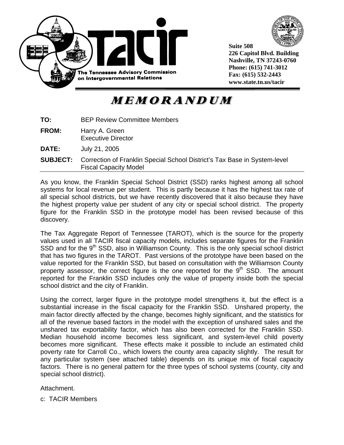



**Suite 508 226 Capitol Blvd. Building Nashville, TN 37243-0760 Phone: (615) 741-3012 Fax: (615) 532-2443 www.state.tn.us/tacir** 

**MEMORANDUM** 

| TO:             | <b>BEP Review Committee Members</b>                                                                       |
|-----------------|-----------------------------------------------------------------------------------------------------------|
| <b>FROM:</b>    | Harry A. Green<br><b>Executive Director</b>                                                               |
| DATE:           | July 21, 2005                                                                                             |
| <b>SUBJECT:</b> | Correction of Franklin Special School District's Tax Base in System-level<br><b>Fiscal Capacity Model</b> |
|                 |                                                                                                           |

As you know, the Franklin Special School District (SSD) ranks highest among all school systems for local revenue per student. This is partly because it has the highest tax rate of all special school districts, but we have recently discovered that it also because they have the highest property value per student of any city or special school district. The property figure for the Franklin SSD in the prototype model has been revised because of this discovery.

The Tax Aggregate Report of Tennessee (TAROT), which is the source for the property values used in all TACIR fiscal capacity models, includes separate figures for the Franklin SSD and for the 9<sup>th</sup> SSD, also in Williamson County. This is the only special school district that has two figures in the TAROT. Past versions of the prototype have been based on the value reported for the Franklin SSD, but based on consultation with the Williamson County property assessor, the correct figure is the one reported for the  $9<sup>th</sup>$  SSD. The amount reported for the Franklin SSD includes only the value of property inside both the special school district and the city of Franklin.

Using the correct, larger figure in the prototype model strengthens it, but the effect is a substantial increase in the fiscal capacity for the Franklin SSD. Unshared property, the main factor directly affected by the change, becomes highly significant, and the statistics for all of the revenue based factors in the model with the exception of unshared sales and the unshared tax exportability factor, which has also been corrected for the Franklin SSD. Median household income becomes less significant, and system-level child poverty becomes more significant. These effects make it possible to include an estimated child poverty rate for Carroll Co., which lowers the county area capacity slightly. The result for any particular system (see attached table) depends on its unique mix of fiscal capacity factors. There is no general pattern for the three types of school systems (county, city and special school district).

Attachment.

c: TACIR Members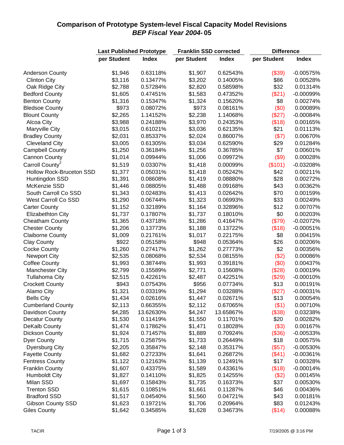## **Comparison of Prototype System-level Fiscal Capacity Model Revisions** *BEP Fiscal Year 2004-* **05**

|                                                  | <b>Last Published Prototype</b> |                      | <b>Franklin SSD corrected</b> |              | <b>Difference</b> |              |  |  |
|--------------------------------------------------|---------------------------------|----------------------|-------------------------------|--------------|-------------------|--------------|--|--|
|                                                  | per Student                     | <b>Index</b>         | per Student                   | <b>Index</b> | per Student       | <b>Index</b> |  |  |
|                                                  |                                 |                      |                               |              |                   |              |  |  |
| <b>Anderson County</b>                           | \$1,946                         | 0.63118%             | \$1,907                       | 0.62543%     | (\$39)            | $-0.00575%$  |  |  |
| <b>Clinton City</b>                              | \$3,116                         | 0.13477%             | \$3,202                       | 0.14005%     | \$86              | 0.00528%     |  |  |
| Oak Ridge City                                   | \$2,788                         | 0.57284%             | \$2,820                       | 0.58598%     | \$32              | 0.01314%     |  |  |
| <b>Bedford County</b>                            | \$1,605                         | 0.47451%             | \$1,583                       | 0.47352%     | (\$21)            | $-0.00099%$  |  |  |
| <b>Benton County</b>                             | \$1,316                         | 0.15347%             | \$1,324                       | 0.15620%     | \$8               | 0.00274%     |  |  |
| <b>Bledsoe County</b>                            | \$973                           | 0.08072%             | \$973                         | 0.08161%     | (\$0)             | 0.00089%     |  |  |
| <b>Blount County</b>                             | \$2,265                         | 1.14152%             | \$2,238                       | 1.14068%     | (\$27)            | $-0.00084%$  |  |  |
| Alcoa City                                       | \$3,988                         | 0.24188%             | \$3,970                       | 0.24353%     | (\$18)            | 0.00165%     |  |  |
| Maryville City                                   | \$3,015                         | 0.61021%             | \$3,036                       | 0.62135%     | \$21              | 0.01113%     |  |  |
| <b>Bradley County</b>                            | \$2,031                         | 0.85337%             | \$2,024                       | 0.86007%     | (\$7)             | 0.00670%     |  |  |
| <b>Cleveland City</b>                            | \$3,005                         | 0.61305%             | \$3,034                       | 0.62590%     | \$29              | 0.01284%     |  |  |
| <b>Campbell County</b>                           | \$1,250                         | 0.36184%             | \$1,256                       | 0.36785%     | \$7               | 0.00601%     |  |  |
| <b>Cannon County</b>                             | \$1,014                         | 0.09944%             | \$1,006                       | 0.09972%     | (\$9)             | 0.00028%     |  |  |
| Carroll County <sup>2</sup>                      | \$1,519                         | 0.03307%             | \$1,418                       | 0.00099%     | (\$101)           | $-0.03208%$  |  |  |
| <b>Hollow Rock-Bruceton SSD</b>                  | \$1,377                         | 0.05031%             | \$1,418                       | 0.05242%     | \$42              | 0.00211%     |  |  |
| Huntingdon SSD                                   | \$1,391                         | 0.08608%             | \$1,419                       | 0.08880%     | \$28              | 0.00272%     |  |  |
| McKenzie SSD                                     | \$1,446                         | 0.08805%             | \$1,488                       | 0.09168%     | \$43              | 0.00362%     |  |  |
| South Carroll Co SSD                             | \$1,343                         | 0.02483%             | \$1,413                       | 0.02642%     | \$70              | 0.00159%     |  |  |
| <b>West Carroll Co SSD</b>                       | \$1,290                         | 0.06744%             | \$1,323                       | 0.06993%     | \$33              | 0.00249%     |  |  |
| <b>Carter County</b>                             | \$1,152                         | 0.32189%             | \$1,164                       | 0.32896%     | \$12              | 0.00707%     |  |  |
| <b>Elizabethton City</b>                         | \$1,737                         | 0.17807%             | \$1,737                       | 0.18010%     | \$0               | 0.00203%     |  |  |
| <b>Cheatham County</b>                           | \$1,365                         | 0.43718%             | \$1,286                       | 0.41647%     | (\$79)            | $-0.02072%$  |  |  |
| <b>Chester County</b>                            | \$1,206                         | 0.13773%             | \$1,188                       | 0.13722%     | (\$18)            | $-0.00051%$  |  |  |
| <b>Claiborne County</b>                          | \$1,009                         | 0.21761%             | \$1,017                       | 0.22175%     | \$8               | 0.00415%     |  |  |
| Clay County                                      | \$922                           | 0.05158%             | \$948                         | 0.05364%     | \$26              | 0.00206%     |  |  |
| <b>Cocke County</b>                              | \$1,260                         | 0.27417%             | \$1,262                       | 0.27773%     | \$2               | 0.00356%     |  |  |
| <b>Newport City</b>                              | \$2,535                         | 0.08068%             | \$2,534                       | 0.08155%     | (\$2)             | 0.00086%     |  |  |
| <b>Coffee County</b>                             | \$1,993                         | 0.38744%             | \$1,993                       | 0.39181%     | (\$0)             | 0.00437%     |  |  |
| <b>Manchester City</b>                           | \$2,799                         | 0.15589%             | \$2,771                       | 0.15608%     | (\$28)            | 0.00019%     |  |  |
| <b>Tullahoma City</b>                            | \$2,515                         | 0.42261%             | \$2,487                       | 0.42251%     | (\$29)            | $-0.00010%$  |  |  |
| <b>Crockett County</b>                           | \$943                           | 0.07543%             | \$956                         | 0.07734%     | \$13              | 0.00191%     |  |  |
| Alamo City                                       | \$1,321                         | 0.03319%             | \$1,294                       | 0.03288%     | (\$27)            | $-0.00031%$  |  |  |
| <b>Bells City</b>                                | \$1,434                         | 0.02616%             | \$1,447                       | 0.02671%     | \$13              | 0.00054%     |  |  |
| <b>Cumberland County</b>                         | \$2,113                         | 0.66355%             | \$2,112                       | 0.67065%     | (\$1)             | 0.00710%     |  |  |
| Davidson County                                  | \$4,285                         | 13.62630%            | \$4,247                       | 13.65867%    | (\$38)            | 0.03238%     |  |  |
| <b>Decatur County</b>                            | \$1,530                         | 0.11419%             | \$1,550                       | 0.11701%     | \$20              | 0.00282%     |  |  |
| DeKalb County                                    | \$1,474                         | 0.17862%             | \$1,471                       | 0.18028%     | (\$3)             | 0.00167%     |  |  |
| <b>Dickson County</b>                            | \$1,924                         | 0.71457%             | \$1,889                       | 0.70924%     | (\$36)            | $-0.00533%$  |  |  |
| <b>Dyer County</b>                               | \$1,715                         | 0.25875%             | \$1,733                       | 0.26449%     | \$18              | 0.00575%     |  |  |
| <b>Dyersburg City</b>                            | \$2,205                         | 0.35847%             | \$2,148                       | 0.35317%     | (\$57)            | $-0.00530%$  |  |  |
| <b>Fayette County</b>                            | \$1,682                         | 0.27233%             | \$1,641                       | 0.26872%     | (\$41)            | $-0.00361%$  |  |  |
|                                                  | \$1,122                         |                      | \$1,139                       |              | \$17              |              |  |  |
| <b>Fentress County</b><br><b>Franklin County</b> | \$1,607                         | 0.12163%<br>0.43375% |                               | 0.12491%     | (\$18)            | 0.00328%     |  |  |
|                                                  |                                 |                      | \$1,589                       | 0.43361%     |                   | $-0.00014%$  |  |  |
| <b>Humboldt City</b>                             | \$1,827                         | 0.14110%             | \$1,825                       | 0.14255%     | (\$2)             | 0.00145%     |  |  |
| Milan SSD                                        | \$1,697                         | 0.15843%             | \$1,735                       | 0.16373%     | \$37              | 0.00530%     |  |  |
| <b>Trenton SSD</b>                               | \$1,615                         | 0.10851%             | \$1,661                       | 0.11287%     | \$46              | 0.00436%     |  |  |
| <b>Bradford SSD</b>                              | \$1,517                         | 0.04540%             | \$1,560                       | 0.04721%     | \$43              | 0.00181%     |  |  |
| <b>Gibson County SSD</b>                         | \$1,623                         | 0.19721%             | \$1,706                       | 0.20964%     | \$83              | 0.01243%     |  |  |
| <b>Giles County</b>                              | \$1,642                         | 0.34585%             | \$1,628                       | 0.34673%     | (\$14)            | 0.00088%     |  |  |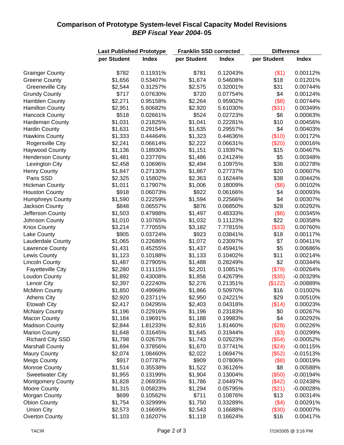## **Comparison of Prototype System-level Fiscal Capacity Model Revisions** *BEP Fiscal Year 2004-* **05**

|                          | <b>Last Published Prototype</b> |                      | <b>Franklin SSD corrected</b> |                      | <b>Difference</b> |                            |  |
|--------------------------|---------------------------------|----------------------|-------------------------------|----------------------|-------------------|----------------------------|--|
|                          | per Student                     | <b>Index</b>         | per Student                   | <b>Index</b>         | per Student       | <b>Index</b>               |  |
|                          |                                 |                      |                               |                      |                   |                            |  |
| <b>Grainger County</b>   | \$782                           | 0.11931%             | \$781                         | 0.12043%             | (\$1)             | 0.00112%                   |  |
| <b>Greene County</b>     | \$1,656                         | 0.53407%             | \$1,674                       | 0.54608%             | \$18              | 0.01201%                   |  |
| <b>Greeneville City</b>  | \$2,544                         | 0.31257%             | \$2,575                       | 0.32001%             | \$31              | 0.00744%                   |  |
| <b>Grundy County</b>     | \$717                           | 0.07630%             | \$720                         | 0.07754%             | \$4               | 0.00124%                   |  |
| <b>Hamblen County</b>    | \$2,271                         | 0.95158%             | \$2,264                       | 0.95902%             | (\$8)             | 0.00744%                   |  |
| <b>Hamilton County</b>   | \$2,951                         | 5.60682%             | \$2,920                       | 5.61030%             | (\$31)            | 0.00349%                   |  |
| <b>Hancock County</b>    | \$518                           | 0.02661%             | \$524                         | 0.02723%             | \$6               | 0.00063%                   |  |
| Hardeman County          | \$1,031                         | 0.21825%             | \$1,041                       | 0.22281%             | \$10              | 0.00456%                   |  |
| <b>Hardin County</b>     | \$1,631                         | 0.29154%             | \$1,635                       | 0.29557%             | \$4               | 0.00403%                   |  |
| <b>Hawkins County</b>    | \$1,333                         | 0.44464%             | \$1,323                       | 0.44636%             | (\$10)            | 0.00172%                   |  |
| Rogersville City         | \$2,241                         | 0.06614%             | \$2,222                       | 0.06631%             | (\$20)            | 0.00016%                   |  |
| <b>Haywood County</b>    | \$1,136                         | 0.18930%             | \$1,151                       | 0.19397%             | \$15              | 0.00467%                   |  |
| <b>Henderson County</b>  | \$1,481                         | 0.23776%             | \$1,486                       | 0.24124%             | \$5               | 0.00348%                   |  |
| Lexington City           | \$2,458                         | 0.10696%             | \$2,494                       | 0.10975%             | \$36              | 0.00278%                   |  |
| <b>Henry County</b>      | \$1,847                         | 0.27130%             | \$1,867                       | 0.27737%             | \$20              | 0.00607%                   |  |
| Paris SSD                | \$2,325                         | 0.15802%             | \$2,363                       | 0.16244%             | \$38              | 0.00442%                   |  |
| <b>Hickman County</b>    | \$1,011                         | 0.17907%             | \$1,006                       | 0.18009%             | (\$6)             | 0.00102%                   |  |
| <b>Houston County</b>    | \$918                           | 0.06073%             | \$922                         | 0.06166%             | \$4               | 0.00093%                   |  |
| <b>Humphreys County</b>  | \$1,590                         | 0.22259%             | \$1,594                       | 0.22566%             | \$4               | 0.00307%                   |  |
| Jackson County           | \$848                           | 0.06557%             | \$876                         | 0.06850%             | \$28              | 0.00292%                   |  |
| Jefferson County         | \$1,503                         | 0.47988%             | \$1,497                       | 0.48333%             | (\$6)             | 0.00345%                   |  |
| Johnson County           | \$1,010                         | 0.10765%             | \$1,032                       | 0.11123%             | \$22              | 0.00358%                   |  |
| <b>Knox County</b>       | \$3,214                         | 7.77055%             | \$3,182                       | 7.77815%             | (\$33)            | 0.00760%                   |  |
| Lake County              | \$905                           | 0.03724%             | \$923                         | 0.03841%             | \$18              | 0.00117%                   |  |
| Lauderdale County        | \$1,065                         | 0.22686%             | \$1,072                       | 0.23097%             | \$7               | 0.00411%                   |  |
| Lawrence County          | \$1,431                         | 0.45255%             | \$1,437                       | 0.45941%             | \$5               | 0.00686%                   |  |
| Lewis County             | \$1,123                         | 0.10188%             | \$1,133                       | 0.10402%             | \$11              | 0.00214%                   |  |
| <b>Lincoln County</b>    | \$1,487                         | 0.27905%             | \$1,488                       | 0.28249%             | \$2               | 0.00344%                   |  |
| <b>Fayetteville City</b> | \$2,280                         | 0.11115%             | \$2,201                       | 0.10851%             | (\$79)            | $-0.00264%$                |  |
| <b>Loudon County</b>     | \$1,892                         | 0.43008%             | \$1,856                       | 0.42679%             | (\$35)            | $-0.00329%$                |  |
| Lenoir City              | \$2,397                         | 0.22240%             | \$2,276                       | 0.21351%             | (\$122)           | $-0.00889%$                |  |
| <b>McMinn County</b>     | \$1,850                         | 0.49968%             | \$1,866                       | 0.50970%             | \$16              | 0.01002%                   |  |
| <b>Athens City</b>       | \$2,920                         | 0.23711%             | \$2,950                       | 0.24221%             | \$29              | 0.00510%                   |  |
| <b>Etowah City</b>       | \$2,417                         | 0.04295%             | \$2,403                       | 0.04318%             | (\$14)            | 0.00023%                   |  |
| <b>McNairy County</b>    | \$1,196                         | 0.22916%             | \$1,196                       | 0.23183%             | \$0               | 0.00267%                   |  |
| <b>Macon County</b>      | \$1,184                         | 0.19691%             | \$1,188                       | 0.19983%             | \$4               | 0.00292%                   |  |
| <b>Madison County</b>    | \$2,844                         | 1.81233%             | \$2,816                       | 1.81460%             | (\$28)            | 0.00226%                   |  |
| <b>Marion County</b>     | \$1,648                         | 0.31645%             | \$1,645                       | 0.31944%             | (\$3)             | 0.00299%                   |  |
| <b>Richard City SSD</b>  | \$1,798                         | 0.02675%             | \$1,743                       | 0.02623%             | (\$54)            | $-0.00052%$                |  |
| <b>Marshall County</b>   | \$1,694                         | 0.37856%             | \$1,670                       | 0.37741%             | (\$24)            | $-0.00115%$                |  |
| <b>Maury County</b>      | \$2,074                         | 1.08460%             | \$2,022                       | 1.06947%             | (\$52)            | $-0.01513%$                |  |
| <b>Meigs County</b>      | \$917                           | 0.07787%             | \$909                         | 0.07806%             | (\$8)             | 0.00019%                   |  |
| <b>Monroe County</b>     | \$1,514                         | 0.35538%             | \$1,522                       | 0.36126%             | \$8               | 0.00588%                   |  |
| <b>Sweetwater City</b>   | \$1,955                         | 0.13199%             | \$1,904                       | 0.13004%             | (\$50)            | $-0.00194%$                |  |
|                          |                                 |                      |                               |                      |                   |                            |  |
| <b>Montgomery County</b> | \$1,828<br>\$1,315              | 2.06935%<br>0.05823% | \$1,786<br>\$1,294            | 2.04497%<br>0.05795% | (\$42)<br>(\$21)  | $-0.02438%$<br>$-0.00028%$ |  |
| <b>Moore County</b>      |                                 |                      |                               |                      |                   |                            |  |
| Morgan County            | \$699                           | 0.10562%             | \$711                         | 0.10876%             | \$13              | 0.00314%                   |  |
| <b>Obion County</b>      | \$1,754                         | 0.32999%             | \$1,750                       | 0.33289%             | (\$4)             | 0.00291%                   |  |
| <b>Union City</b>        | \$2,573                         | 0.16695%             | \$2,543                       | 0.16688%             | (\$30)            | $-0.00007\%$               |  |
| <b>Overton County</b>    | \$1,103                         | 0.16207%             | \$1,118                       | 0.16624%             | \$16              | 0.00417%                   |  |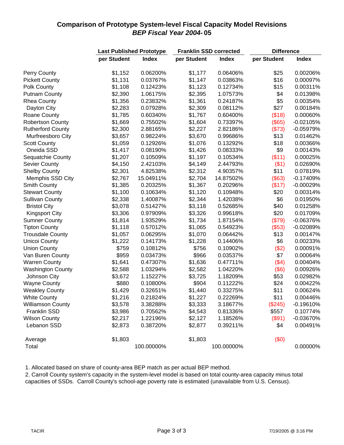## **Comparison of Prototype System-level Fiscal Capacity Model Revisions** *BEP Fiscal Year 2004-* **05**

|                          | <b>Last Published Prototype</b> |              | <b>Franklin SSD corrected</b> |              | <b>Difference</b> |              |  |
|--------------------------|---------------------------------|--------------|-------------------------------|--------------|-------------------|--------------|--|
|                          | per Student                     | <b>Index</b> | per Student                   | <b>Index</b> | per Student       | <b>Index</b> |  |
| Perry County             | \$1,152                         | 0.06200%     | \$1,177                       | 0.06406%     | \$25              | 0.00206%     |  |
| <b>Pickett County</b>    | \$1,131                         | 0.03767%     | \$1,147                       | 0.03863%     | \$16              | 0.00097%     |  |
| Polk County              | \$1,108                         | 0.12423%     | \$1,123                       | 0.12734%     | \$15              | 0.00311%     |  |
| <b>Putnam County</b>     | \$2,390                         | 1.06175%     | \$2,395                       | 1.07573%     | \$4               | 0.01398%     |  |
| <b>Rhea County</b>       | \$1,356                         | 0.23832%     | \$1,361                       | 0.24187%     | \$5               | 0.00354%     |  |
| Dayton City              | \$2,283                         | 0.07928%     | \$2,309                       | 0.08112%     | \$27              | 0.00184%     |  |
| Roane County             | \$1,785                         | 0.60340%     | \$1,767                       | 0.60400%     | (\$18)            | 0.00060%     |  |
| <b>Robertson County</b>  | \$1,669                         | 0.75502%     | \$1,604                       | 0.73397%     | (\$65)            | $-0.02105%$  |  |
| <b>Rutherford County</b> | \$2,300                         | 2.88165%     | \$2,227                       | 2.82186%     | (\$73)            | $-0.05979%$  |  |
| Murfreesboro City        | \$3,657                         | 0.98224%     | \$3,670                       | 0.99686%     | \$13              | 0.01462%     |  |
| <b>Scott County</b>      | \$1,059                         | 0.12926%     | \$1,076                       | 0.13292%     | \$18              | 0.00366%     |  |
| Oneida SSD               | \$1,417                         | 0.08190%     | \$1,426                       | 0.08333%     | \$9               | 0.00143%     |  |
| Sequatchie County        | \$1,207                         | 0.10509%     | \$1,197                       | 0.10534%     | (\$11)            | 0.00025%     |  |
| Sevier County            | \$4,150                         | 2.42103%     | \$4,149                       | 2.44793%     | $($ \$1)          | 0.02690%     |  |
| <b>Shelby County</b>     | \$2,301                         | 4.82538%     | \$2,312                       | 4.90357%     | \$11              | 0.07819%     |  |
| Memphis SSD City         | \$2,767                         | 15.04911%    | \$2,704                       | 14.87502%    | (\$63)            | $-0.17409%$  |  |
| Smith County             | \$1,385                         | 0.20325%     | \$1,367                       | 0.20296%     | (\$17)            | $-0.00029%$  |  |
| <b>Stewart County</b>    | \$1,100                         | 0.10634%     | \$1,120                       | 0.10948%     | \$20              | 0.00314%     |  |
| <b>Sullivan County</b>   | \$2,338                         | 1.40087%     | \$2,344                       | 1.42038%     | \$6               | 0.01950%     |  |
| <b>Bristol City</b>      | \$3,078                         | 0.51427%     | \$3,118                       | 0.52685%     | \$40              | 0.01258%     |  |
| <b>Kingsport City</b>    | \$3,306                         | 0.97909%     | \$3,326                       | 0.99618%     | \$20              | 0.01709%     |  |
| <b>Sumner County</b>     | \$1,814                         | 1.93529%     | \$1,734                       | 1.87154%     | (\$79)            | $-0.06376%$  |  |
| <b>Tipton County</b>     | \$1,118                         | 0.57012%     | \$1,065                       | 0.54923%     | (\$53)            | $-0.02089%$  |  |
| <b>Trousdale County</b>  | \$1,057                         | 0.06295%     | \$1,070                       | 0.06442%     | \$13              | 0.00147%     |  |
| Unicoi County            | \$1,222                         | 0.14173%     | \$1,228                       | 0.14406%     | \$6               | 0.00233%     |  |
| <b>Union County</b>      | \$759                           | 0.10812%     | \$756                         | 0.10902%     | (\$2)             | 0.00091%     |  |
| Van Buren County         | \$959                           | 0.03473%     | \$966                         | 0.03537%     | \$7               | 0.00064%     |  |
| <b>Warren County</b>     | \$1,641                         | 0.47307%     | \$1,636                       | 0.47711%     | (\$4)             | 0.00404%     |  |
| <b>Washington County</b> | \$2,588                         | 1.03294%     | \$2,582                       | 1.04220%     | (\$6)             | 0.00926%     |  |
| Johnson City             | \$3,672                         | 1.15227%     | \$3,725                       | 1.18209%     | \$53              | 0.02982%     |  |
| <b>Wayne County</b>      | \$880                           | 0.10800%     | \$904                         | 0.11222%     | \$24              | 0.00422%     |  |
| <b>Weakley County</b>    | \$1,429                         | 0.32651%     | \$1,440                       | 0.33275%     | \$11              | 0.00624%     |  |
| <b>White County</b>      | \$1,216                         | 0.21824%     | \$1,227                       | 0.22269%     | \$11              | 0.00446%     |  |
| <b>Williamson County</b> | \$3,578                         | 3.38288%     | \$3,333                       | 3.18677%     | (\$245)           | $-0.19610%$  |  |
| Franklin SSD             | \$3,986                         | 0.70562%     | \$4,543                       | 0.81336%     | \$557             | 0.10774%     |  |
| <b>Wilson County</b>     | \$2,217                         | 1.22196%     | \$2,127                       | 1.18526%     | (\$91)            | $-0.03670%$  |  |
| Lebanon SSD              | \$2,873                         | 0.38720%     | \$2,877                       | 0.39211%     | \$4               | 0.00491%     |  |
| Average                  | \$1,803                         |              | \$1,803                       |              | (\$0)             |              |  |
| Total                    |                                 | 100.00000%   |                               | 100.00000%   |                   | 0.00000%     |  |

1. Allocated based on share of county-area BEP match as per actual BEP method.

2. Carroll County system's capacity in the system-level model is based on total county-area capacity minus total capacities of SSDs. Carroll County's school-age poverty rate is estimated (unavailable from U.S. Census).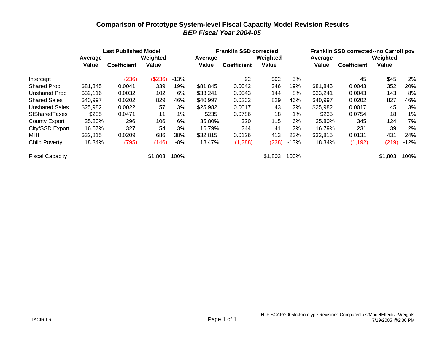### **Comparison of Prototype System-level Fiscal Capacity Model Revision Results** *BEP Fiscal Year 2004-05*

|                        |          | <b>Last Published Model</b> |          |        |          | <b>Franklin SSD corrected</b> |          |        | Franklin SSD corrected--no Carroll pov |                    |          |        |
|------------------------|----------|-----------------------------|----------|--------|----------|-------------------------------|----------|--------|----------------------------------------|--------------------|----------|--------|
|                        | Average  |                             | Weighted |        | Average  |                               | Weighted |        | Average                                |                    | Weighted |        |
|                        | Value    | <b>Coefficient</b>          | Value    |        | Value    | <b>Coefficient</b>            | Value    |        | Value                                  | <b>Coefficient</b> | Value    |        |
| Intercept              |          | (236)                       | (\$236)  | $-13%$ |          | 92                            | \$92     | 5%     |                                        | 45                 | \$45     | 2%     |
| <b>Shared Prop</b>     | \$81,845 | 0.0041                      | 339      | 19%    | \$81,845 | 0.0042                        | 346      | 19%    | \$81,845                               | 0.0043             | 352      | 20%    |
| Unshared Prop          | \$32,116 | 0.0032                      | 102      | 6%     | \$33,241 | 0.0043                        | 144      | 8%     | \$33,241                               | 0.0043             | 143      | 8%     |
| <b>Shared Sales</b>    | \$40,997 | 0.0202                      | 829      | 46%    | \$40,997 | 0.0202                        | 829      | 46%    | \$40,997                               | 0.0202             | 827      | 46%    |
| <b>Unshared Sales</b>  | \$25,982 | 0.0022                      | 57       | 3%     | \$25,982 | 0.0017                        | 43       | 2%     | \$25,982                               | 0.0017             | 45       | 3%     |
| StSharedTaxes          | \$235    | 0.0471                      | 11       | $1\%$  | \$235    | 0.0786                        | 18       | 1%     | \$235                                  | 0.0754             | 18       | 1%     |
| County Export          | 35.80%   | 296                         | 106      | 6%     | 35.80%   | 320                           | 115      | 6%     | 35.80%                                 | 345                | 124      | 7%     |
| City/SSD Export        | 16.57%   | 327                         | 54       | 3%     | 16.79%   | 244                           | 41       | 2%     | 16.79%                                 | 231                | 39       | 2%     |
| MHI                    | \$32,815 | 0.0209                      | 686      | 38%    | \$32,815 | 0.0126                        | 413      | 23%    | \$32,815                               | 0.0131             | 431      | 24%    |
| Child Poverty          | 18.34%   | (795)                       | (146)    | -8%    | 18.47%   | (1,288)                       | (238)    | $-13%$ | 18.34%                                 | (1, 192)           | (219)    | $-12%$ |
| <b>Fiscal Capacity</b> |          |                             | \$1,803  | 100%   |          |                               | \$1,803  | 100%   |                                        |                    | \$1,803  | 100%   |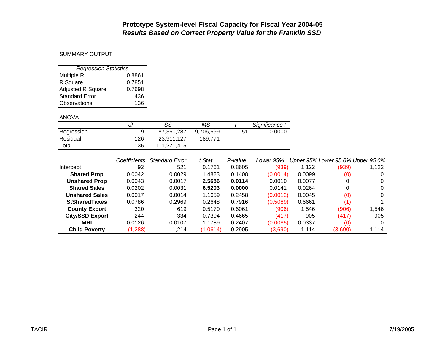#### SUMMARY OUTPUT

| <b>Regression Statistics</b> |        |  |  |  |  |  |  |  |  |
|------------------------------|--------|--|--|--|--|--|--|--|--|
| Multiple R                   | 0.8861 |  |  |  |  |  |  |  |  |
| R Square                     | 0.7851 |  |  |  |  |  |  |  |  |
| <b>Adjusted R Square</b>     | 0.7698 |  |  |  |  |  |  |  |  |
| <b>Standard Error</b>        | 436    |  |  |  |  |  |  |  |  |
| Observations                 | 136    |  |  |  |  |  |  |  |  |

#### ANOVA

|            | df  | SS          | ΜS        |    | Significance F |
|------------|-----|-------------|-----------|----|----------------|
| Regression | 9   | 87.360.287  | 9.706.699 | 51 | 0.0000         |
| Residual   | 126 | 23.911.127  | 189,771   |    |                |
| Total      | 135 | 111.271.415 |           |    |                |

|                        | Coefficients | <b>Standard Error</b> | Stat     | P-value | Lower 95% |        | Upper 95% Lower 95.0% Upper 95.0% |       |
|------------------------|--------------|-----------------------|----------|---------|-----------|--------|-----------------------------------|-------|
| Intercept              | 92           | 521                   | 0.1761   | 0.8605  | (939)     | 1,122  | (939)                             | 1,122 |
| <b>Shared Prop</b>     | 0.0042       | 0.0029                | 1.4823   | 0.1408  | (0.0014)  | 0.0099 | (0)                               | 0     |
| <b>Unshared Prop</b>   | 0.0043       | 0.0017                | 2.5686   | 0.0114  | 0.0010    | 0.0077 | 0                                 | 0     |
| <b>Shared Sales</b>    | 0.0202       | 0.0031                | 6.5203   | 0.0000  | 0.0141    | 0.0264 | 0                                 | 0     |
| <b>Unshared Sales</b>  | 0.0017       | 0.0014                | 1.1659   | 0.2458  | (0.0012)  | 0.0045 | (0)                               | 0     |
| <b>StSharedTaxes</b>   | 0.0786       | 0.2969                | 0.2648   | 0.7916  | (0.5089)  | 0.6661 | (1)                               |       |
| <b>County Export</b>   | 320          | 619                   | 0.5170   | 0.6061  | (906)     | 1,546  | (906)                             | 1.546 |
| <b>City/SSD Export</b> | 244          | 334                   | 0.7304   | 0.4665  | (417)     | 905    | (417)                             | 905   |
| <b>MHI</b>             | 0.0126       | 0.0107                | 1.1789   | 0.2407  | (0.0085)  | 0.0337 | (0)                               | 0     |
| <b>Child Poverty</b>   | (1, 288)     | 1.214                 | (1.0614) | 0.2905  | (3,690)   | 1,114  | (3,690)                           | 1,114 |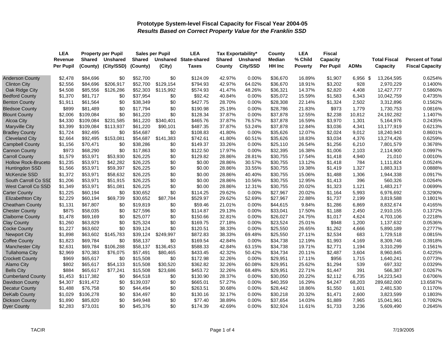|                            | <b>LEA</b>       |           | <b>Property per Pupil</b> |           | <b>Sales per Pupil</b> | <b>LEA</b>          | Tax Exportability* |                 | County        | <b>LEA</b>     | Fiscal           |             |                     |                         |
|----------------------------|------------------|-----------|---------------------------|-----------|------------------------|---------------------|--------------------|-----------------|---------------|----------------|------------------|-------------|---------------------|-------------------------|
|                            | Revenue          | Shared    | Unshared                  | Shared    | Unshared               | <b>State-shared</b> | <b>Shared</b>      | <b>Unshared</b> | Median        | % Child        | Capacity         |             | <b>Total Fiscal</b> | <b>Percent of Total</b> |
|                            | <b>Per Pupil</b> | (County)  | (City/SSD)                | (County)  | (City)                 | <b>Taxes</b>        | County             | City/SSD        | <b>HH Inc</b> | <b>Poverty</b> | <b>Per Pupil</b> | <b>ADMs</b> | Capacity            | <b>Fiscal Capacity</b>  |
| <b>Anderson County</b>     | \$2,478          | \$84,696  | \$0                       | \$52,700  | \$0                    | \$124.09            | 42.97%             | $0.00\%$        | \$36,670      | 16.89%         | \$1,907          | 6,956 \$    | 13,264,595          | 0.6254%                 |
| <b>Clinton City</b>        | \$2,556          | \$84,696  | \$206,917                 | \$52,700  | \$129,154              | \$794.93            | 42.97%             | 64.02%          | \$36,670      | 18.91%         | \$3,202          | 928         | 2,970,229           | 0.1400%                 |
| Oak Ridge City             | \$4,508          | \$85,556  | \$126,286                 | \$52,303  | \$115,992              | \$574.93            | 41.47%             | 48.26%          | \$36,321      | 14.37%         | \$2,820          | 4,408       | 12,427,777          | 0.5860%                 |
| <b>Bedford County</b>      | \$1,370          | \$81,717  | \$0                       | \$37,954  | \$0                    | \$92.42             | 40.84%             | 0.00%           | \$35,072      | 15.59%         | \$1,583          | 6,343       | 10,042,759          | 0.4735%                 |
| <b>Benton County</b>       | \$1,911          | \$61,564  | \$0                       | \$38,349  | \$0                    | \$427.75            | 28.70%             | 0.00%           | \$28,308      | 22.14%         | \$1,324          | 2,502       | 3,312,896           | 0.1562%                 |
| <b>Bledsoe County</b>      | \$899            | \$81,489  | \$0                       | \$17,794  | \$0                    | \$190.98            | 25.19%             | 0.00%           | \$28,786      | 21.83%         | \$973            | 1,779       | 1,730,753           | 0.0816%                 |
| <b>Blount County</b>       | \$2,006          | \$109,084 | \$0                       | \$61,220  | \$0                    | \$128.34            | 37.87%             | 0.00%           | \$37,878      | 12.55%         | \$2,238          | 10,812      | 24,192,282          | 1.1407%                 |
| <b>Alcoa City</b>          | \$4,330          | \$109,084 | \$231,585                 | \$61,220  | \$340,401              | \$465.76            | 37.87%             | 76.57%          | \$37,878      | 16.59%         | \$3,970          | 1,301       | 5,164,976           | 0.2435%                 |
| <b>Maryville City</b>      | \$3,399          | \$109,084 | \$113,937                 | \$61,220  | \$90,101               | \$487.35            | 37.87%             | 53.24%          | \$37,878      | 12.84%         | \$3,036          | 4,341       | 13,177,919          | 0.6213%                 |
| <b>Bradley County</b>      | \$1,724          | \$92,495  | \$0                       | \$54,687  | \$0                    | \$108.83            | 41.80%             | 0.00%           | \$35,626      | 12.07%         | \$2,024          | 9,012       | 18,240,943          | 0.8601%                 |
| <b>Cleveland City</b>      | \$2,664          | \$92,495  | \$153,081                 | \$54,687  | \$141,383              | \$742.61            | 41.80%             | 60.51%          | \$35,626      | 18.83%         | \$3,034          | 4,376       | 13,274,426          | 0.6259%                 |
| <b>Campbell County</b>     | \$1,156          | \$70,471  | \$0                       | \$38,286  | \$0                    | \$149.37            | 33.26%             | 0.00%           | \$25,110      | 26.54%         | \$1,256          | 6,210       | 7,801,579           | 0.3678%                 |
| <b>Cannon County</b>       | \$973            | \$68,290  | \$0                       | \$17,863  | \$0                    | \$122.50            | 17.97%             | 0.00%           | \$32,395      | 16.38%         | \$1,006          | 2,103       | 2,114,900           | 0.0997%                 |
| <b>Carroll County</b>      | \$1,579          | \$53,971  | \$53,930                  | \$26,225  | \$0                    | \$129.82            | 28.86%             | 28.81%          | \$30,755      | 17.54%         | \$1,418          | 4,940       | 21,010              | 0.0010%                 |
| <b>Hollow Rock-Bruceto</b> | \$1,235          | \$53,971  | \$42,282                  | \$26,225  | \$0                    | \$0.00              | 28.86%             | 30.57%          | \$30,755      | 13.12%         | \$1,418          | 784         | 1,111,824           | 0.0524%                 |
| Huntingdon SSD             | \$1,566          | \$53,971  | \$59,397                  | \$26,225  | \$0                    | \$0.00              | 28.86%             | 33.55%          | \$30,755      | 19.38%         | \$1,419          | 1,327       | 1,883,313           | 0.0888%                 |
| <b>McKenzie SSD</b>        | \$1,372          | \$53,971  | \$58,632                  | \$26,225  | \$0                    | \$0.00              | 28.86%             | 40.40%          | \$30,755      | 15.06%         | \$1,488          | 1,306       | 1,944,338           | 0.0917%                 |
| South Carroll Co SSD       | \$1,206          | \$53,971  | \$51,915                  | \$26,225  | \$0                    | \$0.00              | 28.86%             | 10.56%          | \$30,755      | 12.95%         | \$1,413          | 396         | 560,326             | 0.0264%                 |
| <b>West Carroll Co SSD</b> | \$1,349          | \$53,971  | \$51,081                  | \$26,225  | \$0                    | \$0.00              | 28.86%             | 12.31%          | \$30,755      | 20.02%         | \$1,323          | 1,121       | 1,483,217           | 0.0699%                 |
| <b>Carter County</b>       | \$1,225          | \$60,194  | \$0                       | \$30,652  | \$0                    | \$114.25            | 29.62%             | 0.00%           | \$27,967      | 20.02%         | \$1,164          | 5,993       | 6,976,692           | 0.3290%                 |
| <b>Elizabethton City</b>   | \$2,229          | \$60,194  | \$69,739                  | \$30,652  | \$87,784               | \$529.97            | 29.62%             | 52.69%          | \$27,967      | 22.88%         | \$1,737          | 2,199       | 3,819,588           | 0.1801%                 |
| <b>Cheatham County</b>     | \$1,131          | \$67,807  | \$0                       | \$19,819  | \$0                    | \$59.46             | 21.01%             | 0.00%           | \$44,615      | 9.84%          | \$1,286          | 6,869       | 8,832,674           | 0.4165%                 |
| Chester County             | \$875            | \$58,035  | \$0                       | \$27,596  | \$0                    | \$114.87            | 29.13%             | 0.00%           | \$33,041      | 17.50%         | \$1,188          | 2,450       | 2,910,155           | 0.1372%                 |
| <b>Claiborne County</b>    | \$1,478          | \$69,169  | \$0                       | \$25,077  | \$0                    | \$150.66            | 32.81%             | 0.00%           | \$26,027      | 24.75%         | \$1,017          | 4,624       | 4,703,106           | 0.2218%                 |
| <b>Clay County</b>         | \$1,260          | \$63,829  | \$0                       | \$25,324  | \$0                    | \$169.75            | 27.18%             | 0.00%           | \$23,524      | 25.01%         | \$948            | 1,200       | 1,137,632           | 0.0536%                 |
| <b>Cocke County</b>        | \$1,227          | \$63,602  | \$0                       | \$39,124  | \$0                    | \$120.51            | 38.33%             | 0.00%           | \$25,550      | 26.65%         | \$1,262          | 4,666       | 5,890,189           | 0.2777%                 |
| <b>Newport City</b>        | \$1,898          | \$63,602  | \$145,783                 | \$39,124  | \$249,997              | \$872.83            | 38.33%             | 69.48%          | \$25,550      | 27.11%         | \$2,534          | 683         | 1,729,518           | 0.0815%                 |
| <b>Coffee County</b>       | \$1,823          | \$69,784  | \$0                       | \$58.137  | \$0                    | \$169.54            | 42.84%             | $0.00\%$        | \$34,738      | 12.19%         | \$1,993          | 4,169       | 8,309,746           | 0.3918%                 |
| <b>Manchester City</b>     | \$2,631          | \$69,784  | \$106,288                 | \$58,137  | \$136,453              | \$588.33            | 42.84%             | 63.15%          | \$34,738      | 19.71%         | \$2,771          | 1,194       | 3,310,299           | 0.1561%                 |
| <b>Tullahoma City</b>      | \$2,969          | \$70,383  | \$76,075                  | \$57,491  | \$80,465               | \$433.45            | 42.32%             | 50.42%          | \$34,734      | 20.11%         | \$2,487          | 3,604       | 8,960,845           | 0.4225%                 |
| <b>Crockett County</b>     | \$969            | \$65,617  | \$0                       | \$15,508  | \$0                    | \$172.98            | 32.26%             | 0.00%           | \$29,951      | 17.11%         | \$956            | 1,715       | 1,640,241           | 0.0773%                 |
| <b>Alamo City</b>          | \$802            | \$65,617  | \$54,133                  | \$15,508  | \$30,520               | \$362.82            | 32.26%             | 60.08%          | \$29,951      | 25.62%         | \$1,294          | 539         | 697,332             | 0.0329%                 |
| <b>Bells City</b>          | \$884            | \$65,617  | \$77,241                  | \$15,508  | \$23,686               | \$453.72            | 32.26%             | 68.48%          | \$29,951      | 22.71%         | \$1,447          | 391         | 566,387             | 0.0267%                 |
| <b>Cumberland County</b>   | \$1,453          | \$117,382 | \$0                       | \$64,518  | \$0                    | \$130.90            | 28.37%             | 0.00%           | \$30,050      | 20.22%         | \$2,112          | 6,735       | 14,223,543          | 0.6706%                 |
| Davidson County            | \$4,307          | \$191,472 | \$0                       | \$139,037 | \$0                    | \$665.01            | 57.27%             | 0.00%           | \$40,359      | 16.29%         | \$4,247          | 68,203      | 289,682,000         | 13.6587%                |
| <b>Decatur County</b>      | \$1,488          | \$76,758  | \$0                       | \$44,494  | \$0                    | \$263.51            | 30.68%             | 0.00%           | \$28,442      | 18.86%         | \$1,550          | 1,601       | 2,481,530           | 0.1170%                 |
| <b>DeKalb County</b>       | \$1,029          | \$106,278 | \$0                       | \$34,497  | \$0                    | \$130.16            | 32.17%             | 0.00%           | \$30,218      | 20.32%         | \$1,471          | 2,600       | 3,823,599           | 0.1803%                 |
| <b>Dickson County</b>      | \$1,890          | \$85,820  | \$0                       | \$49,948  | \$0                    | \$77.40             | 38.89%             | 0.00%           | \$37,654      | 14.03%         | \$1,889          | 7,965       | 15,041,961          | 0.7092%                 |
| <b>Dyer County</b>         | \$2,283          | \$73,031  | \$0                       | \$45,376  | \$0                    | \$174.39            | 42.69%             | 0.00%           | \$32,924      | 11.61%         | \$1,733          | 3,236       | 5,609,490           | 0.2645%                 |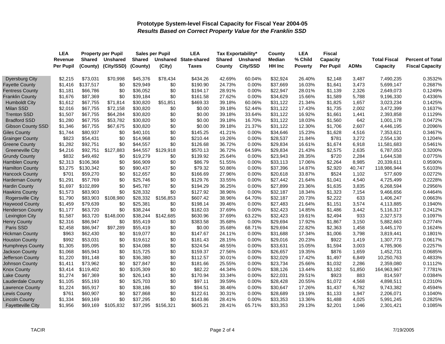|                          | <b>LEA</b>       |               | <b>Property per Pupil</b> |               | <b>Sales per Pupil</b> | <b>LEA</b>                   | <b>Tax Exportability*</b> |          | County        | <b>LEA</b> | <b>Fiscal</b> |             |                     |                         |
|--------------------------|------------------|---------------|---------------------------|---------------|------------------------|------------------------------|---------------------------|----------|---------------|------------|---------------|-------------|---------------------|-------------------------|
|                          | Revenue          | <b>Shared</b> | <b>Unshared</b>           | <b>Shared</b> |                        | <b>Unshared State-shared</b> | <b>Shared</b>             | Unshared | <b>Median</b> | % Child    | Capacity      |             | <b>Total Fiscal</b> | <b>Percent of Total</b> |
|                          | <b>Per Pupil</b> | (County)      | (City/SSD)                | (County)      | (City)                 | Taxes                        | County                    | City/SSD | <b>HH Inc</b> | Poverty    | Per Pupil     | <b>ADMs</b> | Capacity            | <b>Fiscal Capacity</b>  |
| <b>Dyersburg City</b>    | \$2,215          | \$73,031      | \$70,998                  | \$45,376      | \$78,434               | \$434.26                     | 42.69%                    | 60.04%   | \$32,924      | 26.40%     | \$2,148       | 3,487       | 7,490,235           | 0.3532%                 |
| <b>Fayette County</b>    | \$1,416          | \$137,517     | \$0                       | \$29,949      | \$0                    | \$190.90                     | 24.73%                    | 0.00%    | \$37,669      | 16.03%     | \$1,641       | 3,473       | 5,699,147           | 0.2687%                 |
| <b>Fentress County</b>   | \$1,181          | \$66,786      | \$0                       | \$36,052      | \$0                    | \$194.17                     | 28.91%                    | 0.00%    | \$22,947      | 28.01%     | \$1,139       | 2,326       | 2,649,073           | 0.1249%                 |
| <b>Franklin County</b>   | \$1,676          | \$87,369      | \$0                       | \$39,184      | \$0                    | \$161.58                     | 27.62%                    | 0.00%    | \$34,629      | 15.66%     | \$1,589       | 5,788       | 9,196,330           | 0.4336%                 |
| <b>Humboldt City</b>     | \$1,612          | \$67,755      | \$71,814                  | \$30,820      | \$51,851               | \$469.33                     | 39.18%                    | 60.06%   | \$31,122      | 21.34%     | \$1,825       | 1,657       | 3,023,234           | 0.1425%                 |
| Milan SSD                | \$2,016          | \$67,755      | \$72,158                  | \$30,820      | \$0                    | \$0.00                       | 39.18%                    | 52.44%   | \$31,122      | 17.43%     | \$1,735       | 2,002       | 3,472,399           | 0.1637%                 |
| <b>Trenton SSD</b>       | \$1,507          | \$67,755      | \$64,284                  | \$30,820      | \$0                    | \$0.00                       | 39.18%                    | 33.64%   | \$31,122      | 16.92%     | \$1,661       | 1,441       | 2,393,858           | 0.1129%                 |
| <b>Bradford SSD</b>      | \$1,280          | \$67,755      | \$53,782                  | \$30,820      | \$0                    | \$0.00                       | 39.18%                    | 16.70%   | \$31,122      | 18.03%     | \$1,560       | 642         | 1,001,178           | 0.0472%                 |
| <b>Gibson County SSD</b> | \$1,346          | \$67,755      | \$67,675                  | \$30,820      | \$0                    | \$0.00                       | 39.18%                    | 21.37%   | \$31,122      | 12.30%     | \$1,706       | 2,607       | 4,446,195           | 0.2096%                 |
| <b>Giles County</b>      | \$1,744          | \$80,937      | \$0                       | \$40,101      | \$0                    | \$145.25                     | 41.21%                    | 0.00%    | \$34,646      | 15.23%     | \$1,628       | 4,516       | 7,353,621           | 0.3467%                 |
| <b>Grainger County</b>   | \$823            | \$54,431      | \$0                       | \$14,968      | \$0                    | \$210.44                     | 19.26%                    | 0.00%    | \$28,537      | 21.84%     | \$781         | 3,272       | 2,554,130           | 0.1204%                 |
| <b>Greene County</b>     | \$1,282          | \$92,751      | \$0                       | \$44,557      | \$0                    | \$126.68                     | 36.72%                    | 0.00%    | \$29,834      | 16.61%     | \$1,674       | 6,918       | 11,581,683          | 0.5461%                 |
| <b>Greeneville City</b>  | \$4,216          | \$92,751      | \$127,883                 | \$44,557      | \$129,918              | \$570.13                     | 36.72%                    | 64.59%   | \$29,834      | 21.43%     | \$2,575       | 2,635       | 6,787,053           | 0.3200%                 |
| <b>Grundy County</b>     | \$832            | \$49,492      | \$0                       | \$19,279      | \$0                    | \$139.92                     | 25.64%                    | 0.00%    | \$23,943      | 28.35%     | \$720         | 2,284       | 1,644,538           | 0.0775%                 |
| <b>Hamblen County</b>    | \$2,313          | \$106,368     | \$0                       | \$66,909      | \$0                    | \$86.79                      | 51.55%                    | 0.00%    | \$33,113      | 17.06%     | \$2,264       | 8,985       | 20,339,611          | 0.9590%                 |
| <b>Hamilton County</b>   | \$3,275          | \$130,342     | \$0                       | \$90,437      | \$0                    | \$79.32                      | 50.86%                    | 0.00%    | \$37,396      | 14.87%     | \$2,920       | 40,747      | 118,986,944         | 5.6103%                 |
| <b>Hancock County</b>    | \$701            | \$59,270      | \$0                       | \$12,657      | \$0                    | \$166.69                     | 27.96%                    | 0.00%    | \$20,618      | 33.87%     | \$524         | 1,102       | 577,609             | 0.0272%                 |
| <b>Hardeman County</b>   | \$1,291          | \$57,769      | \$0                       | \$25,746      | \$0                    | \$129.76                     | 33.55%                    | 0.00%    | \$27,442      | 21.64%     | \$1,041       | 4,540       | 4,725,499           | 0.2228%                 |
| <b>Hardin County</b>     | \$1,697          | \$102,899     | \$0                       | \$45,787      | \$0                    | \$194.29                     | 36.25%                    | 0.00%    | \$27,899      | 23.36%     | \$1,635       | 3,835       | 6,268,594           | 0.2956%                 |
| <b>Hawkins County</b>    | \$1,573          | \$83,903      | \$0                       | \$28,332      | \$0                    | \$127.92                     | 38.96%                    | 0.00%    | \$32,187      | 18.34%     | \$1,323       | 7,154       | 9,466,656           | 0.4464%                 |
| <b>Rogersville City</b>  | \$1,790          | \$83,903      | \$108,980                 | \$28,332      | \$156,853              | \$607.42                     | 38.96%                    | 64.70%   | \$32,187      | 20.73%     | \$2,222       | 633         | 1,406,247           | 0.0663%                 |
| <b>Haywood County</b>    | \$1,459          | \$79,639      | \$0                       | \$25,381      | \$0                    | \$198.14                     | 39.46%                    | 0.00%    | \$27,483      | 21.64%     | \$1,151       | 3,574       | 4,113,885           | 0.1940%                 |
| <b>Henderson County</b>  | \$1,177          | \$63,720      | \$0                       | \$38,244      | \$0                    | \$182.03                     | 37.69%                    | 0.00%    | \$32,423      | 14.85%     | \$1,486       | 3,442       | 5,116,317           | 0.2412%                 |
| <b>Lexington City</b>    | \$1,587          | \$63,720      | \$148,000                 | \$38,244      | \$142,685              | \$630.96                     | 37.69%                    | 63.22%   | \$32,423      | 19.61%     | \$2,494       | 933         | 2,327,573           | 0.1097%                 |
| <b>Henry County</b>      | \$2,316          | \$86,947      | \$0                       | \$55,419      | \$0                    | \$383.58                     | 35.68%                    | 0.00%    | \$29,694      | 17.92%     | \$1,867       | 3,150       | 5,882,663           | 0.2774%                 |
| Paris SSD                | \$2,458          | \$86,947      | \$97,289                  | \$55,419      | \$0                    | \$0.00                       | 35.68%                    | 68.71%   | \$29,694      | 22.82%     | \$2,363       | 1,458       | 3,445,170           | 0.1624%                 |
| <b>Hickman County</b>    | \$963            | \$62,430      | \$0                       | \$19,077      | \$0                    | \$147.67                     | 24.11%                    | 0.00%    | \$31,688      | 17.34%     | \$1,006       | 3,798       | 3,819,441           | 0.1801%                 |
| <b>Houston County</b>    | \$992            | \$53,031      | \$0                       | \$19,612      | \$0                    | \$181.43                     | 28.15%                    | 0.00%    | \$29,016      | 20.23%     | \$922         | 1,419       | 1,307,773           | 0.0617%                 |
| <b>Humphreys County</b>  | \$1,305          | \$95,095      | \$0                       | \$34,088      | \$0                    | \$324.54                     | 48.55%                    | 0.00%    | \$33,631      | 15.05%     | \$1,594       | 3,003       | 4,785,906           | 0.2257%                 |
| Jackson County           | \$1,068          | \$65,943      | \$0                       | \$15,725      | \$0                    | \$159.37                     | 27.56%                    | 0.00%    | \$26,657      | 19.35%     | \$876         | 1,659       | 1,452,731           | 0.0685%                 |
| Jefferson County         | \$1,220          | \$91,148      | \$0                       | \$36,380      | \$0                    | \$112.57                     | 30.01%                    | 0.00%    | \$32,029      | 17.42%     | \$1,497       | 6,849       | 10,250,763          | 0.4833%                 |
| Johnson County           | \$1,411          | \$73,962      | \$0                       | \$27,847      | \$0                    | \$181.66                     | 25.55%                    | $0.00\%$ | \$23,734      | 25.66%     | \$1,032       | 2,286       | 2,359,080           | 0.1112%                 |
| <b>Knox County</b>       | \$3,414          | \$119,402     | \$0                       | \$105,309     | \$0                    | \$82.22                      | 44.34%                    | 0.00%    | \$38,126      | 13.44%     | \$3,182       | 51,850      | 164,963,967         | 7.7781%                 |
| <b>Lake County</b>       | \$1,274          | \$67,369      | \$0                       | \$26,143      | \$0                    | \$170.94                     | 33.34%                    | 0.00%    | \$22,031      | 29.51%     | \$923         | 883         | 814,597             | 0.0384%                 |
| Lauderdale County        | \$1,105          | \$55,193      | \$0                       | \$25,703      | \$0                    | \$97.11                      | 39.59%                    | $0.00\%$ | \$28,428      | 20.55%     | \$1,072       | 4,568       | 4,898,511           | 0.2310%                 |
| Lawrence County          | \$1,224          | \$65,917      | \$0                       | \$38,186      | \$0                    | \$94.51                      | 38.46%                    | 0.00%    | \$30,647      | 17.26%     | \$1,437       | 6,782       | 9,743,382           | 0.4594%                 |
| <b>Lewis County</b>      | \$761            | \$60,907      | \$0                       | \$27,868      | \$0                    | \$122.61                     | 30.31%                    | 0.00%    | \$28,689      | 19.19%     | \$1,133       | 1,947       | 2,206,071           | 0.1040%                 |
| <b>Lincoln County</b>    | \$1,334          | \$69,169      | \$0                       | \$37,295      | \$0                    | \$143.86                     | 28.41%                    | 0.00%    | \$33,353      | 13.36%     | \$1,488       | 4,025       | 5,991,245           | 0.2825%                 |
| <b>Fayetteville City</b> | \$1,956          | \$69,169      | \$105,832                 | \$37,295      | \$156,321              | \$605.21                     | 28.41%                    | 65.71%   | \$33,353      | 29.13%     | \$2,201       | 1,046       | 2,301,421           | 0.1085%                 |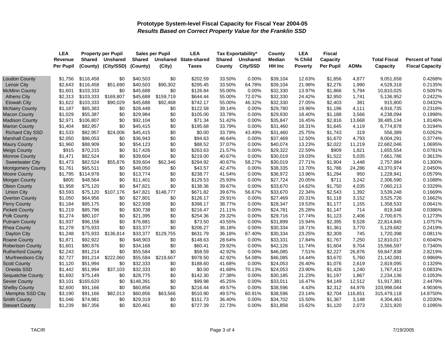|                          | <b>LEA</b> |               | <b>Property per Pupil</b> |               | <b>Sales per Pupil</b> | <b>LEA</b>                   |               | <b>Tax Exportability*</b> | County        | <b>LEA</b>     | Fiscal           |             |                     |                         |
|--------------------------|------------|---------------|---------------------------|---------------|------------------------|------------------------------|---------------|---------------------------|---------------|----------------|------------------|-------------|---------------------|-------------------------|
|                          | Revenue    | <b>Shared</b> | <b>Unshared</b>           | <b>Shared</b> |                        | <b>Unshared State-shared</b> | <b>Shared</b> | <b>Unshared</b>           | Median        | % Child        | Capacity         |             | <b>Total Fiscal</b> | <b>Percent of Total</b> |
|                          | Per Pupil  | (County)      | (City/SSD)                | (County)      | (City)                 | Taxes                        | County        | City/SSD                  | <b>HH Inc</b> | <b>Poverty</b> | <b>Per Pupil</b> | <b>ADMs</b> | Capacity            | <b>Fiscal Capacity</b>  |
| Loudon County            | \$1,756    | \$116,458     | \$0                       | \$40,503      | \$0                    | \$202.59                     | 33.50%        | 0.00%                     | \$39,104      | 12.63%         | \$1,856          | 4,877       | 9,051,658           | 0.4268%                 |
| <b>Lenoir City</b>       | \$2,643    | \$116,458     | \$51,690                  | \$40,503      | \$90,302               | \$295.45                     | 33.50%        | 64.78%                    | \$39,104      | 21.98%         | \$2,276          | 1,990       | 4,528,318           | 0.2135%                 |
| <b>McMinn County</b>     | \$1,601    | \$103,333     | \$0                       | \$45,688      | \$0                    | \$126.84                     | 55.00%        | 0.00%                     | \$32,330      | 13.97%         | \$1,866          | 5,794       | 10,810,025          | 0.5097%                 |
| <b>Athens City</b>       | \$2,313    | \$103,333     | \$169,807                 | \$45,688      | \$159,719              | \$644.44                     | 55.00%        | 72.07%                    | \$32,330      | 24.42%         | \$2,950          | 1,741       | 5,136,952           | 0.2422%                 |
| <b>Etowah City</b>       | \$1,622    | \$103,333     | \$90,029                  | \$45,688      | \$92,468               | \$742.17                     | 55.00%        | 46.32%                    | \$32,330      | 27.05%         | \$2,403          | 381         | 915,800             | 0.0432%                 |
| <b>McNairy County</b>    | \$1,187    | \$65,383      | \$0                       | \$28,448      | \$0                    | \$122.58                     | 39.14%        | 0.00%                     | \$29,780      | 19.96%         | \$1,196          | 4,111       | 4,916,735           | 0.2318%                 |
| <b>Macon County</b>      | \$1,029    | \$55,387      | \$0                       | \$29,984      | \$0                    | \$105.00                     | 33.78%        | 0.00%                     | \$29,930      | 18.40%         | \$1,188          | 3,566       | 4,238,094           | 0.1998%                 |
| <b>Madison County</b>    | \$2,971    | \$106,807     | \$0                       | \$92,104      | \$0                    | \$71.34                      | 51.42%        | 0.00%                     | \$35,847      | 16.45%         | \$2,816          | 13,668      | 38,485,134          | 1.8146%                 |
| <b>Marion County</b>     | \$1,404    | \$82,957      | \$0                       | \$45,415      | \$0                    | \$195.68                     | 33.79%        | 0.00%                     | \$31,460      | 18.31%         | \$1,645          | 4,119       | 6,774,878           | 0.3194%                 |
| <b>Richard City SSD</b>  | \$1,533    | \$82,957      | \$24,006                  | \$45,415      | \$0                    | \$0.00                       | 33.79%        | 43.49%                    | \$31,460      | 25.75%         | \$1,743          | 319         | 556,389             | 0.0262%                 |
| <b>Marshall County</b>   | \$2,050    | \$86,053      | \$0                       | \$36,943      | \$0                    | \$94.63                      | 46.64%        | 0.00%                     | \$37,469      | 12.50%         | \$1,670          | 4,793       | 8,004,291           | 0.3774%                 |
| <b>Maury County</b>      | \$1,960    | \$88,909      | \$0                       | \$54,123      | \$0                    | \$88.52                      | 37.07%        | 0.00%                     | \$40,074      | 13.23%         | \$2,022          | 11,219      | 22,682,046          | 1.0695%                 |
| <b>Meigs County</b>      | \$915      | \$70,215      | \$0                       | \$17,426      | \$0                    | \$263.63                     | 21.57%        | $0.00\%$                  | \$29,322      | 22.59%         | \$909            | 1,821       | 1,655,554           | 0.0781%                 |
| <b>Monroe County</b>     | \$1,471    | \$82,524      | \$0                       | \$39,604      | \$0                    | \$219.00                     | 40.67%        | 0.00%                     | \$30,019      | 19.03%         | \$1,522          | 5,035       | 7,661,786           | 0.3613%                 |
| <b>Sweetwater City</b>   | \$1,473    | \$82,524      | \$55,876                  | \$39,604      | \$62,346               | \$294.92                     | 40.67%        | 58.27%                    | \$30,019      | 27.71%         | \$1,904          | 1,448       | 2,757,984           | 0.1300%                 |
| <b>Montgomery County</b> | \$1,761    | \$65,511      | \$0                       | \$48,050      | \$0                    | \$43.57                      | 42.47%        | 0.00%                     | \$38,335      | 13.70%         | \$1,786          | 24,286      | 43,370,974          | 2.0450%                 |
| <b>Moore County</b>      | \$1,795    | \$114,978     | \$0                       | \$13,774      | \$0                    | \$238.77                     | 41.54%        | 0.00%                     | \$36,972      | 13.96%         | \$1,294          | 950         | 1,228,941           | 0.0579%                 |
| Morgan County            | \$805      | \$48,564      | \$0                       | \$11,401      | \$0                    | \$129.53                     | 25.93%        | 0.00%                     | \$27,724      | 20.05%         | \$711            | 3,242       | 2,306,590           | 0.1088%                 |
| <b>Obion County</b>      | \$1,958    | \$75,120      | \$0                       | \$47,821      | \$0                    | \$138.36                     | 39.67%        | 0.00%                     | \$33,670      | 14.62%         | \$1,750          | 4,035       | 7,060,213           | 0.3329%                 |
| <b>Union City</b>        | \$3,593    | \$75,120      | \$107,176                 | \$47,821      | \$148,777              | \$671.82                     | 39.67%        | 56.67%                    | \$33,670      | 22.34%         | \$2,543          | 1,392       | 3,539,248           | 0.1669%                 |
| <b>Overton County</b>    | \$1,050    | \$64,956      | \$0                       | \$27,801      | \$0                    | \$126.17                     | 29.91%        | 0.00%                     | \$27,469      | 20.31%         | \$1,118          | 3,152       | 3,525,726           | 0.1662%                 |
| <b>Perry County</b>      | \$1,184    | \$85,175      | \$0                       | \$22,938      | \$0                    | \$398.17                     | 38.77%        | 0.00%                     | \$28,347      | 19.53%         | \$1,177          | 1,155       | 1,358,533           | 0.0641%                 |
| <b>Pickett County</b>    | \$1,219    | \$85,796      | \$0                       | \$30,738      | \$0                    | \$216.47                     | 21.11%        | 0.00%                     | \$24,781      | 25.28%         | \$1,147          | 714         | 819,348             | 0.0386%                 |
| <b>Polk County</b>       | \$1,274    | \$80,107      | \$0                       | \$21,395      | \$0                    | \$254.36                     | 29.32%        | $0.00\%$                  | \$29,716      | 17.74%         | \$1,123          | 2,406       | 2,700,675           | 0.1273%                 |
| <b>Putnam County</b>     | \$1,937    | \$96,158      | \$0                       | \$76,881      | \$0                    | \$73.50                      | 43.55%        | 0.00%                     | \$31,899      | 15.94%         | \$2,395          | 9,528       | 22,814,845          | 1.0757%                 |
| <b>Rhea County</b>       | \$1,278    | \$75,933      | \$0                       | \$33,377      | \$0                    | \$206.27                     | 36.18%        | 0.00%                     | \$30,334      | 18.71%         | \$1,361          | 3,770       | 5,129,682           | 0.2419%                 |
| Dayton City              | \$1,248    | \$75,933      | \$136,814                 | \$33,377      | \$129,755              | \$631.79                     | 36.18%        | 67.40%                    | \$30,334      | 23.25%         | \$2,309          | 745         | 1,720,398           | 0.0811%                 |
| <b>Roane County</b>      | \$1,871    | \$92,922      | \$0                       | \$48,903      | \$0                    | \$148.63                     | 28.64%        | 0.00%                     | \$33,331      | 17.84%         | \$1,767          | 7,250       | 12,810,017          | 0.6040%                 |
| <b>Robertson County</b>  | \$1,601    | \$80,876      | \$0                       | \$34,168      | \$0                    | \$60.41                      | 29.92%        | 0.00%                     | \$42,126      | 11.74%         | \$1,604          | 9,704       | 15,566,597          | 0.7340%                 |
| <b>Rutherford County</b> | \$2,243    | \$91,214      | \$0                       | \$55,584      | \$0                    | \$58.59                      | 42.92%        | 0.00%                     | \$46,085      | 7.51%          | \$2,227          | 26,876      | 59,847,838          | 2.8219%                 |
| Murfreesboro City        | \$2,727    | \$91,214      | \$222,060                 | \$55,584      | \$219,667              | \$978.50                     | 42.92%        | 54.08%                    | \$46,085      | 14.44%         | \$3,670          | 5,760       | 21,142,081          | 0.9969%                 |
| <b>Scott County</b>      | \$1,120    | \$51,994      | \$0                       | \$32,333      | \$0                    | \$188.60                     | 41.68%        | 0.00%                     | \$24,053      | 26.40%         | \$1,076          | 2,619       | 2,819,095           | 0.1329%                 |
| Oneida SSD               | \$1,442    | \$51,994      | \$37,103                  | \$32,333      | \$0                    | \$0.00                       | 41.68%        | 70.13%                    | \$24,053      | 23.90%         | \$1,426          | 1,240       | 1,767,413           | 0.0833%                 |
| Sequatchie County        | \$1,692    | \$75,149      | \$0                       | \$28,775      | \$0                    | \$142.30                     | 27.38%        | 0.00%                     | \$30,185      | 21.23%         | \$1,197          | 1,867       | 2,234,136           | 0.1053%                 |
| <b>Sevier County</b>     | \$3,101    | \$165,620     | \$0                       | \$148,391     | \$0                    | \$99.98                      | 45.25%        | 0.00%                     | \$33,011      | 16.47%         | \$4,149          | 12,512      | 51,917,381          | 2.4479%                 |
| <b>Shelby County</b>     | \$2,600    | \$91,166      | \$0                       | \$60,856      | \$0                    | \$216.44                     | 49.57%        | 0.00%                     | \$38,596      | 4.43%          | \$2,312          | 44,976      | 103,998,044         | 4.9036%                 |
| Memphis SSD City         | \$3,190    | \$91,166      | \$82,013                  | \$60,856      | \$63,566               | \$510.90                     | 49.57%        | 60.91%                    | \$38,596      | 23.14%         | \$2,704          | 116,651     | 315,479,118         | 14.8750%                |
| <b>Smith County</b>      | \$1,046    | \$74,981      | \$0                       | \$29,319      | \$0                    | \$151.73                     | 36.40%        | 0.00%                     | \$34,702      | 15.50%         | \$1,367          | 3,148       | 4,304,463           | 0.2030%                 |
| <b>Stewart County</b>    | \$1,239    | \$67,356      | \$0                       | \$20,461      | \$0                    | \$727.39                     | 22.73%        | 0.00%                     | \$31,858      | 15.62%         | \$1,120          | 2,073       | 2,321,920           | 0.1095%                 |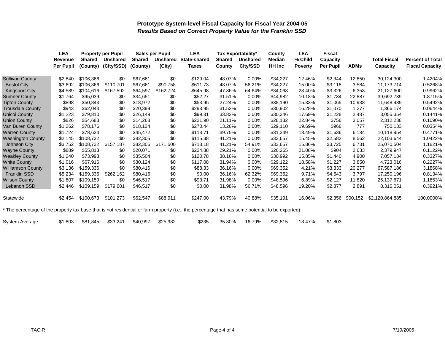|                                                                                                                                                   | LEA<br><b>Property per Pupil</b> |               | <b>Sales per Pupil</b> |               | <b>LEA</b><br>Tax Exportability* |                     | <b>LEA</b><br><b>Fiscal</b><br>County |                 |               |                |           |             |                     |                         |
|---------------------------------------------------------------------------------------------------------------------------------------------------|----------------------------------|---------------|------------------------|---------------|----------------------------------|---------------------|---------------------------------------|-----------------|---------------|----------------|-----------|-------------|---------------------|-------------------------|
|                                                                                                                                                   | <b>Revenue</b>                   | <b>Shared</b> | <b>Unshared</b>        | <b>Shared</b> | <b>Unshared</b>                  | <b>State-shared</b> | <b>Shared</b>                         | <b>Unshared</b> | <b>Median</b> | % Child        | Capacity  |             | <b>Total Fiscal</b> | <b>Percent of Total</b> |
|                                                                                                                                                   | Per Pupil                        | (County)      | (City/SSD)             | (County)      | (City)                           | <b>Taxes</b>        | County                                | City/SSD        | <b>HH Inc</b> | <b>Poverty</b> | Per Pupil | <b>ADMs</b> | Capacity            | <b>Fiscal Capacity</b>  |
| <b>Sullivan County</b>                                                                                                                            | \$2,840                          | \$106,366     | \$0                    | \$67.661      | \$0                              | \$129.04            | 48.07%                                | 0.00%           | \$34,227      | 12.46%         | \$2,344   | 12,850      | 30,124,300          | 1.4204%                 |
| <b>Bristol City</b>                                                                                                                               | \$3,692                          | \$106,366     | \$110,701              | \$67,661      | \$90,758                         | \$611.73            | 48.07%                                | 56.21%          | \$34,227      | 15.00%         | \$3,118   | 3,584       | 11,173,714          | 0.5268%                 |
| Kingsport City                                                                                                                                    | \$4,589                          | \$104,616     | \$167,592              | \$64,597      | \$162,724                        | \$645.98            | 47.36%                                | 64.64%          | \$34,068      | 23.40%         | \$3,326   | 6,353       | 21,127,600          | 0.9962%                 |
| <b>Sumner County</b>                                                                                                                              | \$1,764                          | \$95,039      | \$0                    | \$34.651      | \$0                              | \$52.27             | 31.51%                                | 0.00%           | \$44,982      | 10.18%         | \$1,734   | 22,887      | 39,692,739          | 1.8715%                 |
| <b>Tipton County</b>                                                                                                                              | \$898                            | \$50,843      | \$0                    | \$18,972      | \$0                              | \$53.95             | 27.24%                                | 0.00%           | \$38,190      | 15.33%         | \$1,065   | 10,938      | 11,648,489          | 0.5492%                 |
| <b>Trousdale County</b>                                                                                                                           | \$943                            | \$62,043      | \$0                    | \$20,399      | \$0                              | \$293.95            | 31.52%                                | 0.00%           | \$30,902      | 16.28%         | \$1,070   | 1,277       | 1,366,174           | 0.0644%                 |
| <b>Unicoi County</b>                                                                                                                              | \$1,223                          | \$79,810      | \$0                    | \$26,149      | \$0                              | \$99.31             | 33.82%                                | 0.00%           | \$30,346      | 17.69%         | \$1,228   | 2,487       | 3,055,354           | 0.1441%                 |
| <b>Union County</b>                                                                                                                               | \$826                            | \$54,683      | \$0                    | \$14,268      | \$0                              | \$221.90            | 21.11%                                | 0.00%           | \$28,132      | 22.84%         | \$756     | 3,057       | 2,312,238           | 0.1090%                 |
| Van Buren County                                                                                                                                  | \$1,262                          | \$78,176      | \$0                    | \$18,134      | \$0                              | \$270.44            | 13.26%                                | 0.00%           | \$29,110      | 19.69%         | \$966     | 777         | 750,133             | 0.0354%                 |
| <b>Warren County</b>                                                                                                                              | \$1,724                          | \$78.624      | \$0                    | \$45,472      | \$0                              | \$113.71            | 39.75%                                | 0.00%           | \$31,349      | 18.49%         | \$1,636   | 6,184       | 10,118,954          | 0.4771%                 |
| <b>Washington County</b>                                                                                                                          | \$2,145                          | \$108,732     | \$0                    | \$82,305      | \$0                              | \$115.38            | 41.21%                                | 0.00%           | \$33,657      | 15.45%         | \$2,582   | 8,562       | 22,103,644          | 1.0422%                 |
| Johnson City                                                                                                                                      | \$3,752                          | \$108,732     | \$157,187              | \$82,305      | \$171,500                        | \$713.18            | 41.21%                                | 54.91%          | \$33,657      | 15.86%         | \$3,725   | 6,731       | 25,070,504          | 1.1821%                 |
| <b>Wayne County</b>                                                                                                                               | \$889                            | \$55,813      | \$0                    | \$20,071      | \$0                              | \$224.88            | 29.21%                                | 0.00%           | \$26,265      | 21.08%         | \$904     | 2,633       | 2,379,947           | 0.1122%                 |
| <b>Weakley County</b>                                                                                                                             | \$1,240                          | \$73,993      | \$0                    | \$35,504      | \$0                              | \$120.78            | 38.16%                                | 0.00%           | \$30,992      | 15.85%         | \$1,440   | 4,900       | 7,057,134           | 0.3327%                 |
| <b>White County</b>                                                                                                                               | \$1,016                          | \$67,916      | \$0                    | \$30,124      | \$0                              | \$117.08            | 31.94%                                | 0.00%           | \$29,122      | 18.58%         | \$1,227   | 3.850       | 4,723,016           | 0.2227%                 |
| <b>Williamson County</b>                                                                                                                          | \$3,136                          | \$159,336     | \$0                    | \$80,416      | \$0                              | \$88.33             | 36.16%                                | 0.00%           | \$69,352      | 4.21%          | \$3,333   | 20,277      | 67,587,186          | 3.1868%                 |
| <b>Franklin SSD</b>                                                                                                                               | \$5,234                          | \$159,336     | \$262,162              | \$80,416      | \$0                              | \$0.00              | 36.16%                                | 62.32%          | \$69,352      | 9.71%          | \$4,543   | 3,797       | 17,250,196          | 0.8134%                 |
| <b>Wilson County</b>                                                                                                                              | \$1,807                          | \$109,159     | \$0                    | \$46,517      | \$0                              | \$93.71             | 31.98%                                | 0.00%           | \$48,596      | 6.89%          | \$2,127   | 11,820      | 25,137,671          | 1.1853%                 |
| Lebanon SSD                                                                                                                                       | \$2,446                          | \$109,159     | \$179,601              | \$46,517      | \$0                              | \$0.00              | 31.98%                                | 56.71%          | \$48,596      | 19.20%         | \$2,877   | 2,891       | 8,316,051           | 0.3921%                 |
| Statewide                                                                                                                                         | \$2,454                          | \$100,673     | \$101,273              | \$62,547      | \$88,911                         | \$247.00            | 43.79%                                | 40.88%          | \$35,191      | 16.06%         | \$2,356   | 900,152     | \$2,120,864,885     | 100.0000%               |
| * The percentage of the property tax base that is not residential or farm property (i.e., the percentage that has some potential to be exported). |                                  |               |                        |               |                                  |                     |                                       |                 |               |                |           |             |                     |                         |

| System Average | \$1,803 | \$81,845 \$33,241 |  | \$40,997 | \$25,982 | \$235 | 35.80% |  | 16.79%  \$32,815 | 18.47% | \$1,803 |
|----------------|---------|-------------------|--|----------|----------|-------|--------|--|------------------|--------|---------|
|----------------|---------|-------------------|--|----------|----------|-------|--------|--|------------------|--------|---------|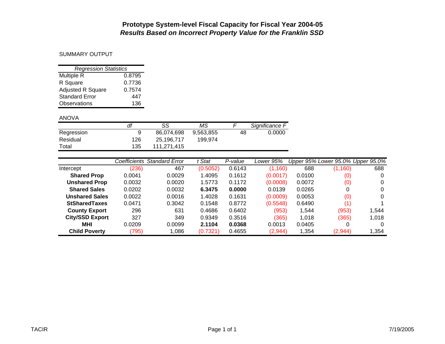#### SUMMARY OUTPUT

| <b>Regression Statistics</b> |        |  |  |  |  |  |  |  |  |  |
|------------------------------|--------|--|--|--|--|--|--|--|--|--|
| Multiple R                   | 0.8795 |  |  |  |  |  |  |  |  |  |
| R Square                     | 0.7736 |  |  |  |  |  |  |  |  |  |
| <b>Adjusted R Square</b>     | 0.7574 |  |  |  |  |  |  |  |  |  |
| <b>Standard Error</b>        | 447    |  |  |  |  |  |  |  |  |  |
| Observations                 | 136    |  |  |  |  |  |  |  |  |  |

#### ANOV A

|            | df  | SS          | МS        |    | Significance F |
|------------|-----|-------------|-----------|----|----------------|
| Regression | 9   | 86.074.698  | 9,563,855 | 48 | 0.0000         |
| Residual   | 126 | 25.196.717  | 199.974   |    |                |
| Total      | 135 | 111.271.415 |           |    |                |

|                        | Coefficients | <b>Standard Error</b> | t Stat   | P-value | Lower 95% |        | Upper 95% Lower 95.0% Upper 95.0% |       |
|------------------------|--------------|-----------------------|----------|---------|-----------|--------|-----------------------------------|-------|
| Intercept              | (236)        | 467                   | (0.5052) | 0.6143  | (1, 160)  | 688    | (1, 160)                          | 688   |
| <b>Shared Prop</b>     | 0.0041       | 0.0029                | 1.4095   | 0.1612  | (0.0017)  | 0.0100 | (0)                               |       |
| <b>Unshared Prop</b>   | 0.0032       | 0.0020                | 1.5773   | 0.1172  | (0.0008)  | 0.0072 | (0)                               |       |
| <b>Shared Sales</b>    | 0.0202       | 0.0032                | 6.3475   | 0.0000  | 0.0139    | 0.0265 | 0                                 |       |
| <b>Unshared Sales</b>  | 0.0022       | 0.0016                | 1.4028   | 0.1631  | (0.0009)  | 0.0053 | (0)                               |       |
| <b>StSharedTaxes</b>   | 0.0471       | 0.3042                | 0.1548   | 0.8772  | (0.5548)  | 0.6490 | (1                                |       |
| <b>County Export</b>   | 296          | 631                   | 0.4686   | 0.6402  | (953)     | 1,544  | (953)                             | 1.544 |
| <b>City/SSD Export</b> | 327          | 349                   | 0.9349   | 0.3516  | (365)     | 1.018  | (365)                             | 1.018 |
| MHI                    | 0.0209       | 0.0099                | 2.1104   | 0.0368  | 0.0013    | 0.0405 | 0                                 |       |
| <b>Child Poverty</b>   | (795)        | 1,086                 | (0.7321) | 0.4655  | (2,944)   | 1,354  | (2,944)                           | 1,354 |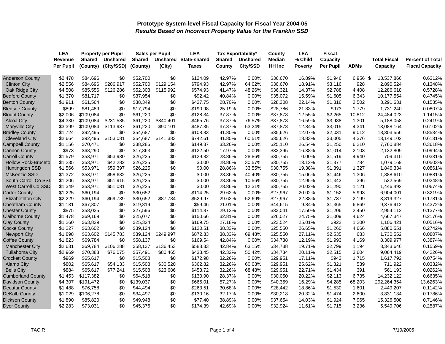|                            | <b>LEA</b> | <b>Property per Pupil</b> |                 | <b>Sales per Pupil</b> |           | <b>LEA</b>          | Tax Exportability* |                 | County   | <b>LEA</b>     | Fiscal           |             |                     |                         |
|----------------------------|------------|---------------------------|-----------------|------------------------|-----------|---------------------|--------------------|-----------------|----------|----------------|------------------|-------------|---------------------|-------------------------|
|                            | Revenue    | <b>Shared</b>             | <b>Unshared</b> | <b>Shared</b>          | Unshared  | <b>State-shared</b> | Shared             | <b>Unshared</b> | Median   | % Child        | Capacity         |             | <b>Total Fiscal</b> | <b>Percent of Total</b> |
|                            | Per Pupil  | (County)                  | (City/SSD)      | (County)               | (City)    | Taxes               | County             | City/SSD        | HH Inc   | <b>Poverty</b> | <b>Per Pupil</b> | <b>ADMs</b> | Capacity            | <b>Fiscal Capacity</b>  |
| <b>Anderson County</b>     | \$2,478    | \$84,696                  | \$0             | \$52,700               | \$0       | \$124.09            | 42.97%             | 0.00%           | \$36,670 | 16.89%         | \$1,946          | $6,956$ \$  | 13,537,866          | 0.6312%                 |
| <b>Clinton City</b>        | \$2,556    | \$84,696                  | \$206,917       | \$52,700               | \$129,154 | \$794.93            | 42.97%             | 64.02%          | \$36,670 | 18.91%         | \$3,116          | 928         | 2,890,524           | 0.1348%                 |
| Oak Ridge City             | \$4,508    | \$85,556                  | \$126,286       | \$52,303               | \$115,992 | \$574.93            | 41.47%             | 48.26%          | \$36,321 | 14.37%         | \$2,788          | 4,408       | 12,286,618          | 0.5728%                 |
| <b>Bedford County</b>      | \$1,370    | \$81,717                  | \$0             | \$37,954               | \$0       | \$92.42             | 40.84%             | 0.00%           | \$35,072 | 15.59%         | \$1,605          | 6,343       | 10,177,554          | 0.4745%                 |
| <b>Benton County</b>       | \$1,911    | \$61,564                  | \$0             | \$38,349               | \$0       | \$427.75            | 28.70%             | 0.00%           | \$28,308 | 22.14%         | \$1,316          | 2,502       | 3,291,631           | 0.1535%                 |
| <b>Bledsoe County</b>      | \$899      | \$81,489                  | \$0             | \$17,794               | \$0       | \$190.98            | 25.19%             | 0.00%           | \$28,786 | 21.83%         | \$973            | 1,779       | 1,731,240           | 0.0807%                 |
| <b>Blount County</b>       | \$2,006    | \$109,084                 | \$0             | \$61,220               | \$0       | \$128.34            | 37.87%             | 0.00%           | \$37,878 | 12.55%         | \$2,265          | 10,812      | 24,484,023          | 1.1415%                 |
| <b>Alcoa City</b>          | \$4,330    | \$109,084                 | \$231,585       | \$61,220               | \$340,401 | \$465.76            | 37.87%             | 76.57%          | \$37,878 | 16.59%         | \$3,988          | 1,301       | 5,188,058           | 0.2419%                 |
| <b>Maryville City</b>      | \$3,399    | \$109,084                 | \$113,937       | \$61,220               | \$90,101  | \$487.35            | 37.87%             | 53.24%          | \$37,878 | 12.84%         | \$3,015          | 4,341       | 13,088,164          | 0.6102%                 |
| <b>Bradley County</b>      | \$1,724    | \$92,495                  | \$0             | \$54,687               | \$0       | \$108.83            | 41.80%             | 0.00%           | \$35,626 | 12.07%         | \$2,031          | 9,012       | 18,303,556          | 0.8534%                 |
| <b>Cleveland City</b>      | \$2,664    | \$92,495                  | \$153,081       | \$54,687               | \$141,383 | \$742.61            | 41.80%             | 60.51%          | \$35,626 | 18.83%         | \$3,005          | 4,376       | 13,149,102          | 0.6131%                 |
| <b>Campbell County</b>     | \$1,156    | \$70,471                  | \$0             | \$38,286               | \$0       | \$149.37            | 33.26%             | 0.00%           | \$25,110 | 26.54%         | \$1,250          | 6,210       | 7,760,884           | 0.3618%                 |
| <b>Cannon County</b>       | \$973      | \$68,290                  | \$0             | \$17,863               | \$0       | \$122.50            | 17.97%             | 0.00%           | \$32,395 | 16.38%         | \$1,014          | 2,103       | 2,132,809           | 0.0994%                 |
| <b>Carroll County</b>      | \$1,579    | \$53,971                  | \$53,930        | \$26,225               | \$0       | \$129.82            | 28.86%             | 28.86%          | \$30,755 | 0.00%          | \$1,519          | 4,940       | 709,310             | 0.0331%                 |
| <b>Hollow Rock-Bruceto</b> | \$1,235    | \$53,971                  | \$42,282        | \$26,225               | \$0       | \$0.00              | 28.86%             | 30.57%          | \$30,755 | 13.12%         | \$1,377          | 784         | 1,079,169           | 0.0503%                 |
| Huntingdon SSD             | \$1,566    | \$53,971                  | \$59,397        | \$26,225               | \$0       | \$0.00              | 28.86%             | 33.55%          | \$30,755 | 19.38%         | \$1,391          | 1,327       | 1,846,334           | 0.0861%                 |
| <b>McKenzie SSD</b>        | \$1,372    | \$53,971                  | \$58,632        | \$26,225               | \$0       | \$0.00              | 28.86%             | 40.40%          | \$30,755 | 15.06%         | \$1,446          | 1,306       | 1,888,610           | 0.0881%                 |
| South Carroll Co SSD       | \$1,206    | \$53,971                  | \$51,915        | \$26,225               | \$0       | \$0.00              | 28.86%             | 10.56%          | \$30,755 | 12.95%         | \$1,343          | 396         | 532,569             | 0.0248%                 |
| <b>West Carroll Co SSD</b> | \$1,349    | \$53,971                  | \$51,081        | \$26,225               | \$0       | \$0.00              | 28.86%             | 12.31%          | \$30,755 | 20.02%         | \$1,290          | 1,121       | 1,446,492           | 0.0674%                 |
| <b>Carter County</b>       | \$1,225    | \$60,194                  | \$0             | \$30,652               | \$0       | \$114.25            | 29.62%             | 0.00%           | \$27,967 | 20.02%         | \$1,152          | 5,993       | 6,904,001           | 0.3219%                 |
| <b>Elizabethton City</b>   | \$2,229    | \$60,194                  | \$69,739        | \$30,652               | \$87,784  | \$529.97            | 29.62%             | 52.69%          | \$27,967 | 22.88%         | \$1,737          | 2,199       | 3,819,327           | 0.1781%                 |
| <b>Cheatham County</b>     | \$1,131    | \$67,807                  | \$0             | \$19,819               | \$0       | \$59.46             | 21.01%             | 0.00%           | \$44,615 | 9.84%          | \$1,365          | 6,869       | 9,376,912           | 0.4372%                 |
| <b>Chester County</b>      | \$875      | \$58,035                  | \$0             | \$27,596               | \$0       | \$114.87            | 29.13%             | 0.00%           | \$33,041 | 17.50%         | \$1,206          | 2,450       | 2,954,112           | 0.1377%                 |
| <b>Claiborne County</b>    | \$1,478    | \$69,169                  | \$0             | \$25,077               | \$0       | \$150.66            | 32.81%             | 0.00%           | \$26,027 | 24.75%         | \$1,009          | 4,624       | 4,667,347           | 0.2176%                 |
| <b>Clay County</b>         | \$1,260    | \$63,829                  | \$0             | \$25,324               | \$0       | \$169.75            | 27.18%             | 0.00%           | \$23,524 | 25.01%         | \$922            | 1,200       | 1,106,421           | 0.0516%                 |
| <b>Cocke County</b>        | \$1,227    | \$63,602                  | \$0             | \$39,124               | \$0       | \$120.51            | 38.33%             | 0.00%           | \$25,550 | 26.65%         | \$1,260          | 4,666       | 5,880,551           | 0.2742%                 |
| <b>Newport City</b>        | \$1,898    | \$63,602                  | \$145,783       | \$39,124               | \$249,997 | \$872.83            | 38.33%             | 69.48%          | \$25,550 | 27.11%         | \$2,535          | 683         | 1,730,552           | 0.0807%                 |
| <b>Coffee County</b>       | \$1,823    | \$69,784                  | \$0             | \$58,137               | \$0       | \$169.54            | 42.84%             | 0.00%           | \$34,738 | 12.19%         | \$1,993          | 4,169       | 8,309,977           | 0.3874%                 |
| <b>Manchester City</b>     | \$2,631    | \$69,784                  | \$106,288       | \$58,137               | \$136,453 | \$588.33            | 42.84%             | 63.15%          | \$34,738 | 19.71%         | \$2,799          | 1,194       | 3,343,646           | 0.1559%                 |
| <b>Tullahoma City</b>      | \$2,969    | \$70,383                  | \$76,075        | \$57,491               | \$80,465  | \$433.45            | 42.32%             | 50.42%          | \$34,734 | 20.11%         | \$2,515          | 3,604       | 9,064,419           | 0.4226%                 |
| <b>Crockett County</b>     | \$969      | \$65,617                  | \$0             | \$15,508               | \$0       | \$172.98            | 32.26%             | 0.00%           | \$29,951 | 17.11%         | \$943            | 1,715       | 1,617,792           | 0.0754%                 |
| <b>Alamo City</b>          | \$802      | \$65,617                  | \$54,133        | \$15,508               | \$30,520  | \$362.82            | 32.26%             | 60.08%          | \$29,951 | 25.62%         | \$1,321          | 539         | 711,922             | 0.0332%                 |
| <b>Bells City</b>          | \$884      | \$65,617                  | \$77,241        | \$15,508               | \$23,686  | \$453.72            | 32.26%             | 68.48%          | \$29,951 | 22.71%         | \$1,434          | 391         | 561,193             | 0.0262%                 |
| <b>Cumberland County</b>   | \$1,453    | \$117,382                 | \$0             | \$64,518               | \$0       | \$130.90            | 28.37%             | 0.00%           | \$30,050 | 20.22%         | \$2,113          | 6,735       | 14,232,122          | 0.6635%                 |
| Davidson County            | \$4,307    | \$191,472                 | \$0             | \$139,037              | \$0       | \$665.01            | 57.27%             | 0.00%           | \$40,359 | 16.29%         | \$4,285          | 68,203      | 292,264,354         | 13.6263%                |
| <b>Decatur County</b>      | \$1,488    | \$76,758                  | \$0             | \$44,494               | \$0       | \$263.51            | 30.68%             | 0.00%           | \$28,442 | 18.86%         | \$1,530          | 1,601       | 2,449,207           | 0.1142%                 |
| <b>DeKalb County</b>       | \$1,029    | \$106,278                 | \$0             | \$34,497               | \$0       | \$130.16            | 32.17%             | 0.00%           | \$30,218 | 20.32%         | \$1,474          | 2,600       | 3,831,134           | 0.1786%                 |
| <b>Dickson County</b>      | \$1,890    | \$85,820                  | \$0             | \$49,948               | \$0       | \$77.40             | 38.89%             | 0.00%           | \$37,654 | 14.03%         | \$1,924          | 7,965       | 15,326,508          | 0.7146%                 |
| <b>Dyer County</b>         | \$2,283    | \$73,031                  | \$0             | \$45,376               | \$0       | \$174.39            | 42.69%             | $0.00\%$        | \$32,924 | 11.61%         | \$1,715          | 3,236       | 5,549,706           | 0.2587%                 |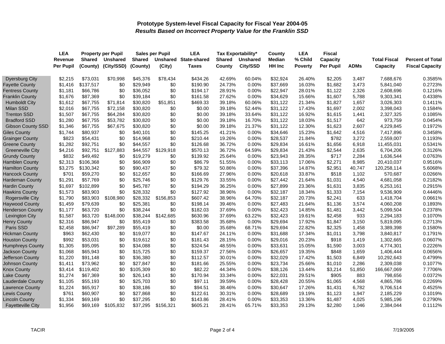|                          | <b>LEA</b>       | <b>Property per Pupil</b> |                 | <b>Sales per Pupil</b> |           | <b>LEA</b>   | Tax Exportability* |                 | County   | <b>LEA</b>     | <b>Fiscal</b> |             |                     |                         |
|--------------------------|------------------|---------------------------|-----------------|------------------------|-----------|--------------|--------------------|-----------------|----------|----------------|---------------|-------------|---------------------|-------------------------|
|                          | Revenue          | <b>Shared</b>             | <b>Unshared</b> | <b>Shared</b>          | Unshared  | State-shared | <b>Shared</b>      | <b>Unshared</b> | Median   | % Child        | Capacity      |             | <b>Total Fiscal</b> | <b>Percent of Total</b> |
|                          | <b>Per Pupil</b> | (County)                  | (City/SSD)      | (County)               | (City)    | Taxes        | County             | City/SSD        | HH Inc   | <b>Poverty</b> | Per Pupil     | <b>ADMs</b> | Capacity            | <b>Fiscal Capacity</b>  |
| <b>Dyersburg City</b>    | \$2,215          | \$73,031                  | \$70,998        | \$45,376               | \$78,434  | \$434.26     | 42.69%             | 60.04%          | \$32,924 | 26.40%         | \$2,205       | 3,487       | 7,688,676           | 0.3585%                 |
| <b>Fayette County</b>    | \$1,416          | \$137,517                 | \$0             | \$29,949               | \$0       | \$190.90     | 24.73%             | 0.00%           | \$37,669 | 16.03%         | \$1,682       | 3,473       | 5,841,040           | 0.2723%                 |
| <b>Fentress County</b>   | \$1,181          | \$66,786                  | \$0             | \$36,052               | \$0       | \$194.17     | 28.91%             | 0.00%           | \$22,947 | 28.01%         | \$1,122       | 2,326       | 2,608,696           | 0.1216%                 |
| <b>Franklin County</b>   | \$1,676          | \$87,369                  | \$0             | \$39,184               | \$0       | \$161.58     | 27.62%             | 0.00%           | \$34,629 | 15.66%         | \$1,607       | 5,788       | 9,303,341           | 0.4338%                 |
| <b>Humboldt City</b>     | \$1,612          | \$67,755                  | \$71,814        | \$30,820               | \$51,851  | \$469.33     | 39.18%             | 60.06%          | \$31,122 | 21.34%         | \$1,827       | 1,657       | 3,026,303           | 0.1411%                 |
| <b>Milan SSD</b>         | \$2,016          | \$67,755                  | \$72,158        | \$30,820               | \$0       | \$0.00       | 39.18%             | 52.44%          | \$31,122 | 17.43%         | \$1,697       | 2,002       | 3,398,043           | 0.1584%                 |
| <b>Trenton SSD</b>       | \$1,507          | \$67,755                  | \$64,284        | \$30,820               | \$0       | \$0.00       | 39.18%             | 33.64%          | \$31,122 | 16.92%         | \$1,615       | 1,441       | 2,327,325           | 0.1085%                 |
| <b>Bradford SSD</b>      | \$1,280          | \$67,755                  | \$53,782        | \$30,820               | \$0       | \$0.00       | 39.18%             | 16.70%          | \$31,122 | 18.03%         | \$1,517       | 642         | 973,759             | 0.0454%                 |
| <b>Gibson County SSD</b> | \$1,346          | \$67,755                  | \$67,675        | \$30,820               | \$0       | \$0.00       | 39.18%             | 21.37%          | \$31,122 | 12.30%         | \$1,623       | 2,607       | 4,229,845           | 0.1972%                 |
| <b>Giles County</b>      | \$1,744          | \$80,937                  | \$0             | \$40,101               | \$0       | \$145.25     | 41.21%             | 0.00%           | \$34,646 | 15.23%         | \$1,642       | 4,516       | 7,417,896           | 0.3458%                 |
| <b>Grainger County</b>   | \$823            | \$54,431                  | \$0             | \$14,968               | \$0       | \$210.44     | 19.26%             | 0.00%           | \$28,537 | 21.84%         | \$782         | 3,272       | 2,559,007           | 0.1193%                 |
| <b>Greene County</b>     | \$1,282          | \$92,751                  | \$0             | \$44,557               | \$0       | \$126.68     | 36.72%             | 0.00%           | \$29,834 | 16.61%         | \$1,656       | 6,918       | 11,455,031          | 0.5341%                 |
| <b>Greeneville City</b>  | \$4,216          | \$92,751                  | \$127,883       | \$44,557               | \$129,918 | \$570.13     | 36.72%             | 64.59%          | \$29,834 | 21.43%         | \$2,544       | 2,635       | 6,704,206           | 0.3126%                 |
| <b>Grundy County</b>     | \$832            | \$49,492                  | \$0             | \$19,279               | \$0       | \$139.92     | 25.64%             | 0.00%           | \$23,943 | 28.35%         | \$717         | 2,284       | 1,636,544           | 0.0763%                 |
| <b>Hamblen County</b>    | \$2,313          | \$106,368                 | \$0             | \$66,909               | \$0       | \$86.79      | 51.55%             | 0.00%           | \$33,113 | 17.06%         | \$2,271       | 8,985       | 20,410,037          | 0.9516%                 |
| <b>Hamilton County</b>   | \$3,275          | \$130,342                 | \$0             | \$90,437               | \$0       | \$79.32      | 50.86%             | 0.00%           | \$37,396 | 14.87%         | \$2,951       | 40,747      | 120,258,114         | 5.6068%                 |
| <b>Hancock County</b>    | \$701            | \$59,270                  | \$0             | \$12,657               | \$0       | \$166.69     | 27.96%             | $0.00\%$        | \$20,618 | 33.87%         | \$518         | 1,102       | 570,687             | 0.0266%                 |
| <b>Hardeman County</b>   | \$1,291          | \$57,769                  | \$0             | \$25,746               | \$0       | \$129.76     | 33.55%             | 0.00%           | \$27,442 | 21.64%         | \$1,031       | 4,540       | 4,681,058           | 0.2182%                 |
| Hardin County            | \$1,697          | \$102,899                 | \$0             | \$45,787               | \$0       | \$194.29     | 36.25%             | 0.00%           | \$27,899 | 23.36%         | \$1,631       | 3,835       | 6,253,161           | 0.2915%                 |
| <b>Hawkins County</b>    | \$1,573          | \$83,903                  | \$0             | \$28,332               | \$0       | \$127.92     | 38.96%             | 0.00%           | \$32,187 | 18.34%         | \$1,333       | 7,154       | 9,536,909           | 0.4446%                 |
| <b>Rogersville City</b>  | \$1,790          | \$83,903                  | \$108,980       | \$28,332               | \$156,853 | \$607.42     | 38.96%             | 64.70%          | \$32,187 | 20.73%         | \$2,241       | 633         | 1,418,704           | 0.0661%                 |
| <b>Haywood County</b>    | \$1,459          | \$79,639                  | \$0             | \$25,381               | \$0       | \$198.14     | 39.46%             | 0.00%           | \$27,483 | 21.64%         | \$1,136       | 3,574       | 4,060,208           | 0.1893%                 |
| <b>Henderson County</b>  | \$1,177          | \$63,720                  | \$0             | \$38,244               | \$0       | \$182.03     | 37.69%             | 0.00%           | \$32,423 | 14.85%         | \$1,481       | 3,442       | 5,099,504           | 0.2378%                 |
| <b>Lexington City</b>    | \$1,587          | \$63,720                  | \$148,000       | \$38,244               | \$142,685 | \$630.96     | 37.69%             | 63.22%          | \$32,423 | 19.61%         | \$2,458       | 933         | 2,294,183           | 0.1070%                 |
| <b>Henry County</b>      | \$2,316          | \$86,947                  | \$0             | \$55,419               | \$0       | \$383.58     | 35.68%             | 0.00%           | \$29,694 | 17.92%         | \$1,847       | 3,150       | 5,819,095           | 0.2713%                 |
| Paris SSD                | \$2,458          | \$86,947                  | \$97,289        | \$55,419               | \$0       | \$0.00       | 35.68%             | 68.71%          | \$29,694 | 22.82%         | \$2,325       | 1,458       | 3,389,398           | 0.1580%                 |
| <b>Hickman County</b>    | \$963            | \$62,430                  | \$0             | \$19,077               | \$0       | \$147.67     | 24.11%             | 0.00%           | \$31,688 | 17.34%         | \$1,011       | 3,798       | 3,840,817           | 0.1791%                 |
| <b>Houston County</b>    | \$992            | \$53,031                  | \$0             | \$19,612               | \$0       | \$181.43     | 28.15%             | 0.00%           | \$29,016 | 20.23%         | \$918         | 1,419       | 1,302,665           | 0.0607%                 |
| <b>Humphreys County</b>  | \$1,305          | \$95,095                  | \$0             | \$34,088               | \$0       | \$324.54     | 48.55%             | 0.00%           | \$33,631 | 15.05%         | \$1,590       | 3,003       | 4,774,301           | 0.2226%                 |
| Jackson County           | \$1,068          | \$65,943                  | \$0             | \$15,725               | \$0       | \$159.37     | 27.56%             | $0.00\%$        | \$26,657 | 19.35%         | \$848         | 1,659       | 1,406,444           | 0.0656%                 |
| Jefferson County         | \$1,220          | \$91,148                  | \$0             | \$36,380               | \$0       | \$112.57     | 30.01%             | 0.00%           | \$32,029 | 17.42%         | \$1,503       | 6,849       | 10,292,643          | 0.4799%                 |
| <b>Johnson County</b>    | \$1,411          | \$73,962                  | \$0             | \$27,847               | \$0       | \$181.66     | 25.55%             | $0.00\%$        | \$23,734 | 25.66%         | \$1,010       | 2,286       | 2,309,038           | 0.1077%                 |
| <b>Knox County</b>       | \$3,414          | \$119,402                 | \$0             | \$105,309              | \$0       | \$82.22      | 44.34%             | 0.00%           | \$38,126 | 13.44%         | \$3,214       | 51,850      | 166,667,069         | 7.7706%                 |
| <b>Lake County</b>       | \$1,274          | \$67,369                  | \$0             | \$26,143               | \$0       | \$170.94     | 33.34%             | 0.00%           | \$22,031 | 29.51%         | \$905         | 883         | 798,656             | 0.0372%                 |
| <b>Lauderdale County</b> | \$1,105          | \$55,193                  | \$0             | \$25,703               | \$0       | \$97.11      | 39.59%             | $0.00\%$        | \$28,428 | 20.55%         | \$1,065       | 4,568       | 4,865,786           | 0.2269%                 |
| Lawrence County          | \$1,224          | \$65,917                  | \$0             | \$38,186               | \$0       | \$94.51      | 38.46%             | 0.00%           | \$30,647 | 17.26%         | \$1,431       | 6,782       | 9,706,514           | 0.4525%                 |
| <b>Lewis County</b>      | \$761            | \$60,907                  | \$0             | \$27,868               | \$0       | \$122.61     | 30.31%             | 0.00%           | \$28,689 | 19.19%         | \$1,123       | 1,947       | 2,185,229           | 0.1019%                 |
| <b>Lincoln County</b>    | \$1,334          | \$69,169                  | \$0             | \$37,295               | \$0       | \$143.86     | 28.41%             | 0.00%           | \$33,353 | 13.36%         | \$1,487       | 4,025       | 5,985,196           | 0.2790%                 |
| <b>Fayetteville City</b> | \$1,956          | \$69,169                  | \$105,832       | \$37,295               | \$156,321 | \$605.21     | 28.41%             | 65.71%          | \$33,353 | 29.13%         | \$2,280       | 1,046       | 2,384,044           | 0.1112%                 |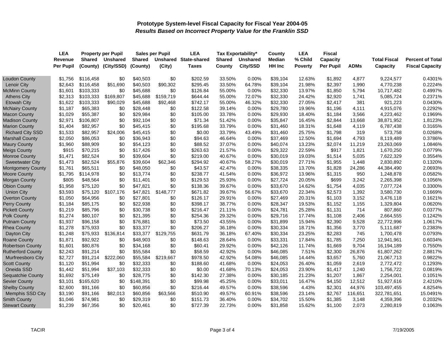|                          | <b>LEA</b>       | <b>Property per Pupil</b> |                 | <b>Sales per Pupil</b> |           | <b>LEA</b>                   |               | <b>Tax Exportability*</b> | County   | <b>LEA</b>     | <b>Fiscal</b> |             |                     |                         |
|--------------------------|------------------|---------------------------|-----------------|------------------------|-----------|------------------------------|---------------|---------------------------|----------|----------------|---------------|-------------|---------------------|-------------------------|
|                          | Revenue          | <b>Shared</b>             | <b>Unshared</b> | <b>Shared</b>          |           | <b>Unshared State-shared</b> | <b>Shared</b> | <b>Unshared</b>           | Median   | % Child        | Capacity      |             | <b>Total Fiscal</b> | <b>Percent of Total</b> |
|                          | <b>Per Pupil</b> | (County)                  | (City/SSD)      | (County)               | (City)    | <b>Taxes</b>                 | County        | City/SSD                  | HH Inc   | <b>Poverty</b> | Per Pupil     | <b>ADMs</b> | Capacity            | <b>Fiscal Capacity</b>  |
| <b>Loudon County</b>     | \$1,756          | \$116,458                 | \$0             | \$40,503               | \$0       | \$202.59                     | 33.50%        | 0.00%                     | \$39,104 | 12.63%         | \$1,892       | 4,877       | 9,224,577           | 0.4301%                 |
| <b>Lenoir City</b>       | \$2,643          | \$116,458                 | \$51,690        | \$40,503               | \$90,302  | \$295.45                     | 33.50%        | 64.78%                    | \$39,104 | 21.98%         | \$2,397       | 1,990       | 4,770,238           | 0.2224%                 |
| <b>McMinn County</b>     | \$1,601          | \$103,333                 | \$0             | \$45,688               | \$0       | \$126.84                     | 55.00%        | 0.00%                     | \$32,330 | 13.97%         | \$1,850       | 5,794       | 10,717,482          | 0.4997%                 |
| <b>Athens City</b>       | \$2,313          | \$103,333                 | \$169,807       | \$45,688               | \$159,719 | \$644.44                     | 55.00%        | 72.07%                    | \$32,330 | 24.42%         | \$2,920       | 1,741       | 5,085,724           | 0.2371%                 |
| <b>Etowah City</b>       | \$1,622          | \$103,333                 | \$90,029        | \$45,688               | \$92,468  | \$742.17                     | 55.00%        | 46.32%                    | \$32,330 | 27.05%         | \$2,417       | 381         | 921,223             | 0.0430%                 |
| <b>McNairy County</b>    | \$1,187          | \$65,383                  | \$0             | \$28,448               | \$0       | \$122.58                     | 39.14%        | 0.00%                     | \$29,780 | 19.96%         | \$1,196       | 4,111       | 4,915,076           | 0.2292%                 |
| <b>Macon County</b>      | \$1,029          | \$55,387                  | \$0             | \$29,984               | \$0       | \$105.00                     | 33.78%        | 0.00%                     | \$29,930 | 18.40%         | \$1,184       | 3,566       | 4,223,462           | 0.1969%                 |
| <b>Madison County</b>    | \$2,971          | \$106,807                 | \$0             | \$92,104               | \$0       | \$71.34                      | 51.42%        | 0.00%                     | \$35,847 | 16.45%         | \$2,844       | 13,668      | 38,871,952          | 1.8123%                 |
| <b>Marion County</b>     | \$1,404          | \$82,957                  | \$0             | \$45,415               | \$0       | \$195.68                     | 33.79%        | 0.00%                     | \$31,460 | 18.31%         | \$1,648       | 4,119       | 6,787,438           | 0.3165%                 |
| <b>Richard City SSD</b>  | \$1,533          | \$82,957                  | \$24,006        | \$45,415               | \$0       | \$0.00                       | 33.79%        | 43.49%                    | \$31,460 | 25.75%         | \$1,798       | 319         | 573,758             | 0.0268%                 |
| <b>Marshall County</b>   | \$2,050          | \$86,053                  | \$0             | \$36,943               | \$0       | \$94.63                      | 46.64%        | 0.00%                     | \$37,469 | 12.50%         | \$1,694       | 4,793       | 8,119,489           | 0.3786%                 |
| <b>Maury County</b>      | \$1,960          | \$88,909                  | \$0             | \$54,123               | \$0       | \$88.52                      | 37.07%        | 0.00%                     | \$40,074 | 13.23%         | \$2,074       | 11,219      | 23,263,069          | 1.0846%                 |
| <b>Meigs County</b>      | \$915            | \$70,215                  | \$0             | \$17,426               | \$0       | \$263.63                     | 21.57%        | 0.00%                     | \$29,322 | 22.59%         | \$917         | 1,821       | 1,670,250           | 0.0779%                 |
| <b>Monroe County</b>     | \$1,471          | \$82,524                  | \$0             | \$39,604               | \$0       | \$219.00                     | 40.67%        | 0.00%                     | \$30,019 | 19.03%         | \$1,514       | 5,035       | 7,622,329           | 0.3554%                 |
| <b>Sweetwater City</b>   | \$1,473          | \$82,524                  | \$55,876        | \$39,604               | \$62,346  | \$294.92                     | 40.67%        | 58.27%                    | \$30,019 | 27.71%         | \$1,955       | 1,448       | 2,830,892           | 0.1320%                 |
| <b>Montgomery County</b> | \$1,761          | \$65,511                  | \$0             | \$48,050               | \$0       | \$43.57                      | 42.47%        | 0.00%                     | \$38,335 | 13.70%         | \$1,828       | 24,286      | 44,384,490          | 2.0693%                 |
| <b>Moore County</b>      | \$1,795          | \$114,978                 | \$0             | \$13,774               | \$0       | \$238.77                     | 41.54%        | 0.00%                     | \$36,972 | 13.96%         | \$1,315       | 950         | 1,248,878           | 0.0582%                 |
| <b>Morgan County</b>     | \$805            | \$48,564                  | \$0             | \$11,401               | \$0       | \$129.53                     | 25.93%        | 0.00%                     | \$27,724 | 20.05%         | \$699         | 3,242       | 2,265,398           | 0.1056%                 |
| <b>Obion County</b>      | \$1,958          | \$75,120                  | \$0             | \$47,821               | \$0       | \$138.36                     | 39.67%        | 0.00%                     | \$33,670 | 14.62%         | \$1,754       | 4,035       | 7,077,724           | 0.3300%                 |
| <b>Union City</b>        | \$3,593          | \$75,120                  | \$107,176       | \$47,821               | \$148,777 | \$671.82                     | 39.67%        | 56.67%                    | \$33,670 | 22.34%         | \$2,573       | 1,392       | 3,580,730           | 0.1669%                 |
| <b>Overton County</b>    | \$1,050          | \$64,956                  | \$0             | \$27,801               | \$0       | \$126.17                     | 29.91%        | 0.00%                     | \$27,469 | 20.31%         | \$1,103       | 3,152       | 3,476,118           | 0.1621%                 |
| <b>Perry County</b>      | \$1,184          | \$85,175                  | \$0             | \$22,938               | \$0       | \$398.17                     | 38.77%        | $0.00\%$                  | \$28,347 | 19.53%         | \$1,152       | 1,155       | 1,329,804           | 0.0620%                 |
| <b>Pickett County</b>    | \$1,219          | \$85,796                  | \$0             | \$30,738               | \$0       | \$216.47                     | 21.11%        | 0.00%                     | \$24,781 | 25.28%         | \$1,131       | 714         | 807,860             | 0.0377%                 |
| <b>Polk County</b>       | \$1,274          | \$80,107                  | \$0             | \$21,395               | \$0       | \$254.36                     | 29.32%        | 0.00%                     | \$29,716 | 17.74%         | \$1,108       | 2,406       | 2,664,555           | 0.1242%                 |
| <b>Putnam County</b>     | \$1,937          | \$96,158                  | \$0             | \$76,881               | \$0       | \$73.50                      | 43.55%        | 0.00%                     | \$31,899 | 15.94%         | \$2,390       | 9,528       | 22,772,996          | 1.0617%                 |
| <b>Rhea County</b>       | \$1,278          | \$75,933                  | \$0             | \$33,377               | \$0       | \$206.27                     | 36.18%        | 0.00%                     | \$30,334 | 18.71%         | \$1,356       | 3,770       | 5,111,687           | 0.2383%                 |
| Dayton City              | \$1,248          | \$75,933                  | \$136,814       | \$33,377               | \$129,755 | \$631.79                     | 36.18%        | 67.40%                    | \$30,334 | 23.25%         | \$2,283       | 745         | 1,700,478           | 0.0793%                 |
| Roane County             | \$1,871          | \$92,922                  | \$0             | \$48,903               | \$0       | \$148.63                     | 28.64%        | 0.00%                     | \$33,331 | 17.84%         | \$1,785       | 7,250       | 12,941,961          | 0.6034%                 |
| <b>Robertson County</b>  | \$1,601          | \$80,876                  | \$0             | \$34,168               | \$0       | \$60.41                      | 29.92%        | 0.00%                     | \$42,126 | 11.74%         | \$1,669       | 9,704       | 16,194,189          | 0.7550%                 |
| <b>Rutherford County</b> | \$2,243          | \$91,214                  | \$0             | \$55,584               | \$0       | \$58.59                      | 42.92%        | 0.00%                     | \$46,085 | 7.51%          | \$2,300       | 26,876      | 61,807,262          | 2.8817%                 |
| Murfreesboro City        | \$2,727          | \$91,214                  | \$222,060       | \$55,584               | \$219,667 | \$978.50                     | 42.92%        | 54.08%                    | \$46,085 | 14.44%         | \$3,657       | 5,760       | 21,067,713          | 0.9822%                 |
| <b>Scott County</b>      | \$1,120          | \$51,994                  | \$0             | \$32,333               | \$0       | \$188.60                     | 41.68%        | 0.00%                     | \$24,053 | 26.40%         | \$1,059       | 2,619       | 2,772,472           | 0.1293%                 |
| Oneida SSD               | \$1,442          | \$51,994                  | \$37,103        | \$32,333               | \$0       | \$0.00                       | 41.68%        | 70.13%                    | \$24,053 | 23.90%         | \$1,417       | 1,240       | 1,756,722           | 0.0819%                 |
| Sequatchie County        | \$1,692          | \$75,149                  | \$0             | \$28,775               | \$0       | \$142.30                     | 27.38%        | 0.00%                     | \$30,185 | 21.23%         | \$1,207       | 1,867       | 2,254,001           | 0.1051%                 |
| <b>Sevier County</b>     | \$3,101          | \$165,620                 | \$0             | \$148,391              | \$0       | \$99.98                      | 45.25%        | 0.00%                     | \$33,011 | 16.47%         | \$4,150       | 12,512      | 51,927,616          | 2.4210%                 |
| <b>Shelby County</b>     | \$2,600          | \$91,166                  | \$0             | \$60,856               | \$0       | \$216.44                     | 49.57%        | 0.00%                     | \$38,596 | 4.43%          | \$2,301       | 44,976      | 103,497,455         | 4.8254%                 |
| Memphis SSD City         | \$3,190          | \$91,166                  | \$82,013        | \$60,856               | \$63,566  | \$510.90                     | 49.57%        | 60.91%                    | \$38,596 | 23.14%         | \$2,767       | 116,651     | 322,781,651         | 15.0491%                |
| <b>Smith County</b>      | \$1,046          | \$74,981                  | \$0             | \$29,319               | \$0       | \$151.73                     | 36.40%        | 0.00%                     | \$34,702 | 15.50%         | \$1,385       | 3,148       | 4,359,396           | 0.2032%                 |
| <b>Stewart County</b>    | \$1,239          | \$67,356                  | \$0             | \$20,461               | \$0       | \$727.39                     | 22.73%        | 0.00%                     | \$31,858 | 15.62%         | \$1,100       | 2,073       | 2,280,819           | 0.1063%                 |